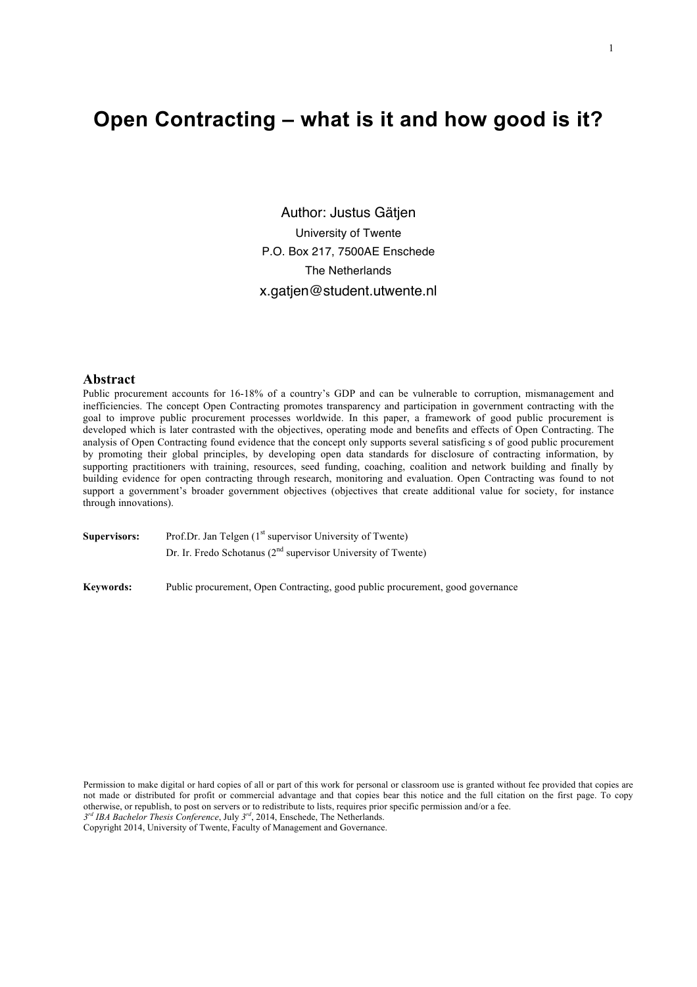# **Open Contracting – what is it and how good is it?**

Author: Justus Gätjen University of Twente P.O. Box 217, 7500AE Enschede The Netherlands x.gatjen@student.utwente.nl

# **Abstract**

Public procurement accounts for 16-18% of a country's GDP and can be vulnerable to corruption, mismanagement and inefficiencies. The concept Open Contracting promotes transparency and participation in government contracting with the goal to improve public procurement processes worldwide. In this paper, a framework of good public procurement is developed which is later contrasted with the objectives, operating mode and benefits and effects of Open Contracting. The analysis of Open Contracting found evidence that the concept only supports several satisficing s of good public procurement by promoting their global principles, by developing open data standards for disclosure of contracting information, by supporting practitioners with training, resources, seed funding, coaching, coalition and network building and finally by building evidence for open contracting through research, monitoring and evaluation. Open Contracting was found to not support a government's broader government objectives (objectives that create additional value for society, for instance through innovations).

**Supervisors:** Prof.Dr. Jan Telgen (1<sup>st</sup> supervisor University of Twente) Dr. Ir. Fredo Schotanus ( $2<sup>nd</sup>$  supervisor University of Twente)

**Keywords:** Public procurement, Open Contracting, good public procurement, good governance

Permission to make digital or hard copies of all or part of this work for personal or classroom use is granted without fee provided that copies are not made or distributed for profit or commercial advantage and that copies bear this notice and the full citation on the first page. To copy otherwise, or republish, to post on servers or to redistribute to lists, requires prior specific permission and/or a fee. *3rd IBA Bachelor Thesis Conference*, July *3rd*, 2014, Enschede, The Netherlands.

Copyright 2014, University of Twente, Faculty of Management and Governance.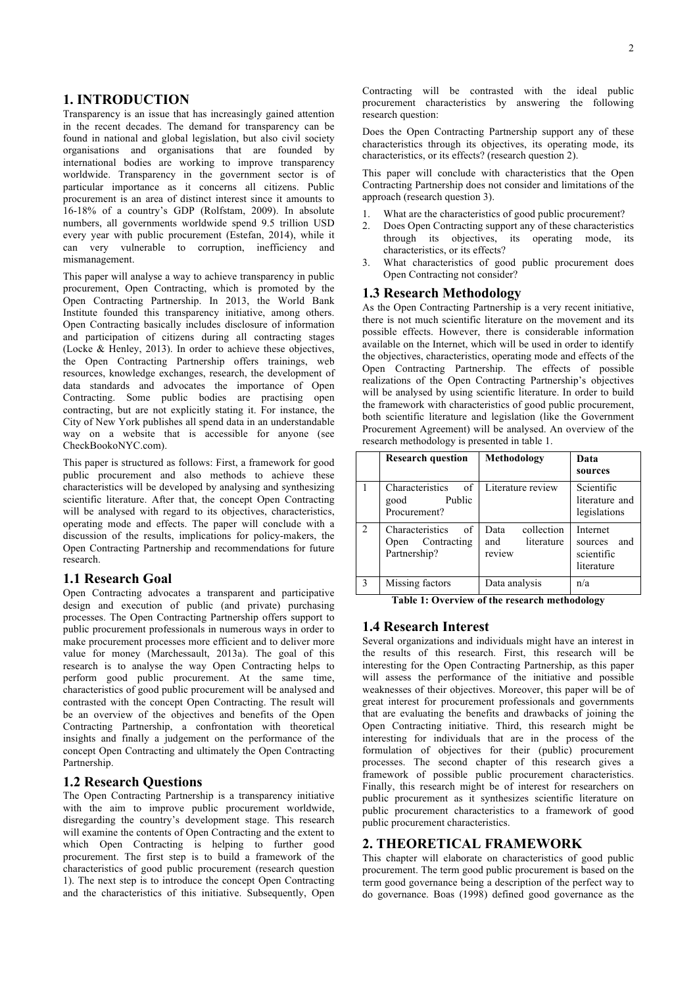### **1. INTRODUCTION**

Transparency is an issue that has increasingly gained attention in the recent decades. The demand for transparency can be found in national and global legislation, but also civil society organisations and organisations that are founded by international bodies are working to improve transparency worldwide. Transparency in the government sector is of particular importance as it concerns all citizens. Public procurement is an area of distinct interest since it amounts to 16-18% of a country's GDP (Rolfstam, 2009). In absolute numbers, all governments worldwide spend 9.5 trillion USD every year with public procurement (Estefan, 2014), while it can very vulnerable to corruption, inefficiency and mismanagement.

This paper will analyse a way to achieve transparency in public procurement, Open Contracting, which is promoted by the Open Contracting Partnership. In 2013, the World Bank Institute founded this transparency initiative, among others. Open Contracting basically includes disclosure of information and participation of citizens during all contracting stages (Locke & Henley, 2013). In order to achieve these objectives, the Open Contracting Partnership offers trainings, web resources, knowledge exchanges, research, the development of data standards and advocates the importance of Open Contracting. Some public bodies are practising open contracting, but are not explicitly stating it. For instance, the City of New York publishes all spend data in an understandable way on a website that is accessible for anyone (see CheckBookoNYC.com).

This paper is structured as follows: First, a framework for good public procurement and also methods to achieve these characteristics will be developed by analysing and synthesizing scientific literature. After that, the concept Open Contracting will be analysed with regard to its objectives, characteristics, operating mode and effects. The paper will conclude with a discussion of the results, implications for policy-makers, the Open Contracting Partnership and recommendations for future research.

#### **1.1 Research Goal**

Open Contracting advocates a transparent and participative design and execution of public (and private) purchasing processes. The Open Contracting Partnership offers support to public procurement professionals in numerous ways in order to make procurement processes more efficient and to deliver more value for money (Marchessault, 2013a). The goal of this research is to analyse the way Open Contracting helps to perform good public procurement. At the same time, characteristics of good public procurement will be analysed and contrasted with the concept Open Contracting. The result will be an overview of the objectives and benefits of the Open Contracting Partnership, a confrontation with theoretical insights and finally a judgement on the performance of the concept Open Contracting and ultimately the Open Contracting Partnership.

#### **1.2 Research Questions**

The Open Contracting Partnership is a transparency initiative with the aim to improve public procurement worldwide, disregarding the country's development stage. This research will examine the contents of Open Contracting and the extent to which Open Contracting is helping to further good procurement. The first step is to build a framework of the characteristics of good public procurement (research question 1). The next step is to introduce the concept Open Contracting and the characteristics of this initiative. Subsequently, Open Contracting will be contrasted with the ideal public procurement characteristics by answering the following research question:

Does the Open Contracting Partnership support any of these characteristics through its objectives, its operating mode, its characteristics, or its effects? (research question 2).

This paper will conclude with characteristics that the Open Contracting Partnership does not consider and limitations of the approach (research question 3).

- 1. What are the characteristics of good public procurement?
- 2. Does Open Contracting support any of these characteristics through its objectives, its operating mode, its characteristics, or its effects?
- 3. What characteristics of good public procurement does Open Contracting not consider?

# **1.3 Research Methodology**

As the Open Contracting Partnership is a very recent initiative, there is not much scientific literature on the movement and its possible effects. However, there is considerable information available on the Internet, which will be used in order to identify the objectives, characteristics, operating mode and effects of the Open Contracting Partnership. The effects of possible realizations of the Open Contracting Partnership's objectives will be analysed by using scientific literature. In order to build the framework with characteristics of good public procurement, both scientific literature and legislation (like the Government Procurement Agreement) will be analysed. An overview of the research methodology is presented in table 1.

|                | <b>Research question</b>                                  | Methodology                                       | Data<br>sources                                        |
|----------------|-----------------------------------------------------------|---------------------------------------------------|--------------------------------------------------------|
|                | Characteristics<br>of<br>Public<br>good<br>Procurement?   | Literature review                                 | Scientific<br>literature and<br>legislations           |
| $\overline{2}$ | Characteristics<br>of<br>Open Contracting<br>Partnership? | collection<br>Data<br>literature<br>and<br>review | Internet<br>and<br>sources<br>scientific<br>literature |
| $\mathcal{E}$  | Missing factors                                           | Data analysis                                     | n/a                                                    |

**Table 1: Overview of the research methodology**

#### **1.4 Research Interest**

Several organizations and individuals might have an interest in the results of this research. First, this research will be interesting for the Open Contracting Partnership, as this paper will assess the performance of the initiative and possible weaknesses of their objectives. Moreover, this paper will be of great interest for procurement professionals and governments that are evaluating the benefits and drawbacks of joining the Open Contracting initiative. Third, this research might be interesting for individuals that are in the process of the formulation of objectives for their (public) procurement processes. The second chapter of this research gives a framework of possible public procurement characteristics. Finally, this research might be of interest for researchers on public procurement as it synthesizes scientific literature on public procurement characteristics to a framework of good public procurement characteristics.

### **2. THEORETICAL FRAMEWORK**

This chapter will elaborate on characteristics of good public procurement. The term good public procurement is based on the term good governance being a description of the perfect way to do governance. Boas (1998) defined good governance as the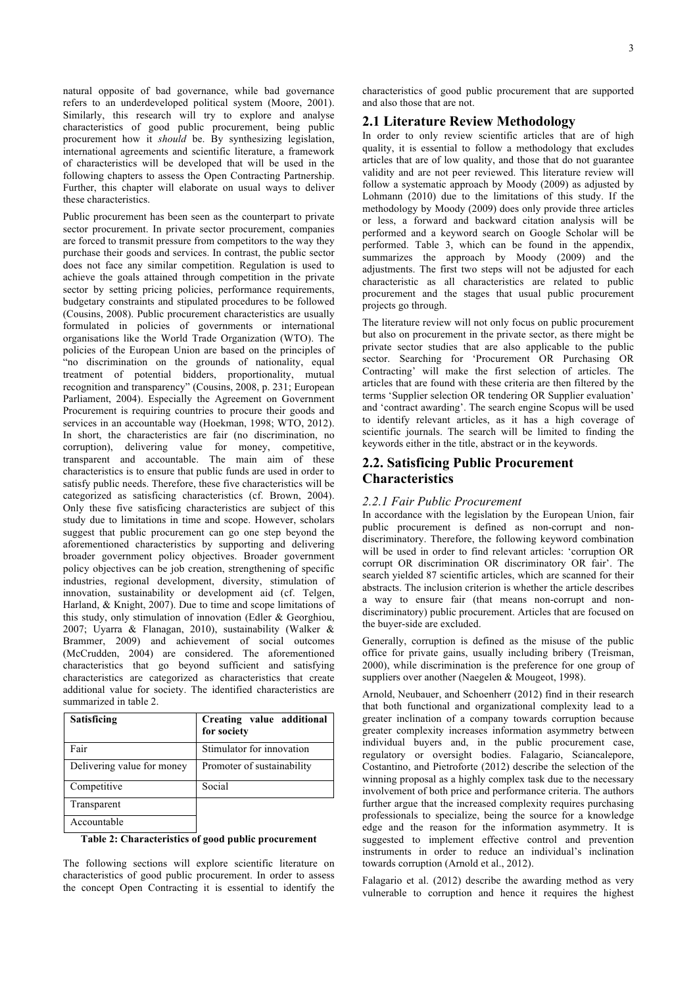natural opposite of bad governance, while bad governance refers to an underdeveloped political system (Moore, 2001). Similarly, this research will try to explore and analyse characteristics of good public procurement, being public procurement how it *should* be. By synthesizing legislation, international agreements and scientific literature, a framework of characteristics will be developed that will be used in the following chapters to assess the Open Contracting Partnership. Further, this chapter will elaborate on usual ways to deliver these characteristics.

Public procurement has been seen as the counterpart to private sector procurement. In private sector procurement, companies are forced to transmit pressure from competitors to the way they purchase their goods and services. In contrast, the public sector does not face any similar competition. Regulation is used to achieve the goals attained through competition in the private sector by setting pricing policies, performance requirements, budgetary constraints and stipulated procedures to be followed (Cousins, 2008). Public procurement characteristics are usually formulated in policies of governments or international organisations like the World Trade Organization (WTO). The policies of the European Union are based on the principles of "no discrimination on the grounds of nationality, equal treatment of potential bidders, proportionality, mutual recognition and transparency" (Cousins, 2008, p. 231; European Parliament, 2004). Especially the Agreement on Government Procurement is requiring countries to procure their goods and services in an accountable way (Hoekman, 1998; WTO, 2012). In short, the characteristics are fair (no discrimination, no corruption), delivering value for money, competitive, transparent and accountable. The main aim of these characteristics is to ensure that public funds are used in order to satisfy public needs. Therefore, these five characteristics will be categorized as satisficing characteristics (cf. Brown, 2004). Only these five satisficing characteristics are subject of this study due to limitations in time and scope. However, scholars suggest that public procurement can go one step beyond the aforementioned characteristics by supporting and delivering broader government policy objectives. Broader government policy objectives can be job creation, strengthening of specific industries, regional development, diversity, stimulation of innovation, sustainability or development aid (cf. Telgen, Harland, & Knight, 2007). Due to time and scope limitations of this study, only stimulation of innovation (Edler & Georghiou, 2007; Uyarra & Flanagan, 2010), sustainability (Walker & Brammer, 2009) and achievement of social outcomes (McCrudden, 2004) are considered. The aforementioned characteristics that go beyond sufficient and satisfying characteristics are categorized as characteristics that create additional value for society. The identified characteristics are summarized in table 2.

| Satisficing                | Creating value additional<br>for society |
|----------------------------|------------------------------------------|
| Fair                       | Stimulator for innovation                |
| Delivering value for money | Promoter of sustainability               |
| Competitive                | Social                                   |
| Transparent                |                                          |
| Accountable                |                                          |

#### **Table 2: Characteristics of good public procurement**

The following sections will explore scientific literature on characteristics of good public procurement. In order to assess the concept Open Contracting it is essential to identify the characteristics of good public procurement that are supported and also those that are not.

# **2.1 Literature Review Methodology**

In order to only review scientific articles that are of high quality, it is essential to follow a methodology that excludes articles that are of low quality, and those that do not guarantee validity and are not peer reviewed. This literature review will follow a systematic approach by Moody (2009) as adjusted by Lohmann (2010) due to the limitations of this study. If the methodology by Moody (2009) does only provide three articles or less, a forward and backward citation analysis will be performed and a keyword search on Google Scholar will be performed. Table 3, which can be found in the appendix, summarizes the approach by Moody (2009) and the adjustments. The first two steps will not be adjusted for each characteristic as all characteristics are related to public procurement and the stages that usual public procurement projects go through.

The literature review will not only focus on public procurement but also on procurement in the private sector, as there might be private sector studies that are also applicable to the public sector. Searching for 'Procurement OR Purchasing OR Contracting' will make the first selection of articles. The articles that are found with these criteria are then filtered by the terms 'Supplier selection OR tendering OR Supplier evaluation' and 'contract awarding'. The search engine Scopus will be used to identify relevant articles, as it has a high coverage of scientific journals. The search will be limited to finding the keywords either in the title, abstract or in the keywords.

# **2.2. Satisficing Public Procurement Characteristics**

#### *2.2.1 Fair Public Procurement*

In accordance with the legislation by the European Union, fair public procurement is defined as non-corrupt and nondiscriminatory. Therefore, the following keyword combination will be used in order to find relevant articles: 'corruption OR corrupt OR discrimination OR discriminatory OR fair'. The search yielded 87 scientific articles, which are scanned for their abstracts. The inclusion criterion is whether the article describes a way to ensure fair (that means non-corrupt and nondiscriminatory) public procurement. Articles that are focused on the buyer-side are excluded.

Generally, corruption is defined as the misuse of the public office for private gains, usually including bribery (Treisman, 2000), while discrimination is the preference for one group of suppliers over another (Naegelen & Mougeot, 1998).

Arnold, Neubauer, and Schoenherr (2012) find in their research that both functional and organizational complexity lead to a greater inclination of a company towards corruption because greater complexity increases information asymmetry between individual buyers and, in the public procurement case, regulatory or oversight bodies. Falagario, Sciancalepore, Costantino, and Pietroforte (2012) describe the selection of the winning proposal as a highly complex task due to the necessary involvement of both price and performance criteria. The authors further argue that the increased complexity requires purchasing professionals to specialize, being the source for a knowledge edge and the reason for the information asymmetry. It is suggested to implement effective control and prevention instruments in order to reduce an individual's inclination towards corruption (Arnold et al., 2012).

Falagario et al. (2012) describe the awarding method as very vulnerable to corruption and hence it requires the highest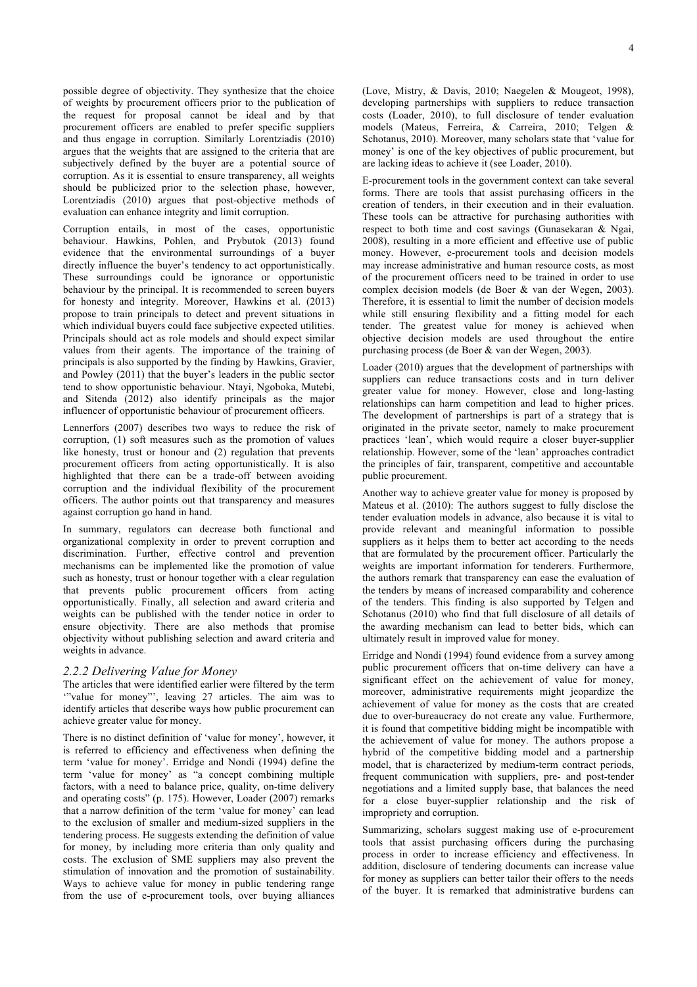4

possible degree of objectivity. They synthesize that the choice of weights by procurement officers prior to the publication of the request for proposal cannot be ideal and by that procurement officers are enabled to prefer specific suppliers and thus engage in corruption. Similarly Lorentziadis (2010) argues that the weights that are assigned to the criteria that are subjectively defined by the buyer are a potential source of corruption. As it is essential to ensure transparency, all weights should be publicized prior to the selection phase, however, Lorentziadis (2010) argues that post-objective methods of evaluation can enhance integrity and limit corruption.

Corruption entails, in most of the cases, opportunistic behaviour. Hawkins, Pohlen, and Prybutok (2013) found evidence that the environmental surroundings of a buyer directly influence the buyer's tendency to act opportunistically. These surroundings could be ignorance or opportunistic behaviour by the principal. It is recommended to screen buyers for honesty and integrity. Moreover, Hawkins et al. (2013) propose to train principals to detect and prevent situations in which individual buyers could face subjective expected utilities. Principals should act as role models and should expect similar values from their agents. The importance of the training of principals is also supported by the finding by Hawkins, Gravier, and Powley (2011) that the buyer's leaders in the public sector tend to show opportunistic behaviour. Ntayi, Ngoboka, Mutebi, and Sitenda (2012) also identify principals as the major influencer of opportunistic behaviour of procurement officers.

Lennerfors (2007) describes two ways to reduce the risk of corruption, (1) soft measures such as the promotion of values like honesty, trust or honour and (2) regulation that prevents procurement officers from acting opportunistically. It is also highlighted that there can be a trade-off between avoiding corruption and the individual flexibility of the procurement officers. The author points out that transparency and measures against corruption go hand in hand.

In summary, regulators can decrease both functional and organizational complexity in order to prevent corruption and discrimination. Further, effective control and prevention mechanisms can be implemented like the promotion of value such as honesty, trust or honour together with a clear regulation that prevents public procurement officers from acting opportunistically. Finally, all selection and award criteria and weights can be published with the tender notice in order to ensure objectivity. There are also methods that promise objectivity without publishing selection and award criteria and weights in advance.

#### *2.2.2 Delivering Value for Money*

The articles that were identified earlier were filtered by the term '"value for money"', leaving 27 articles. The aim was to identify articles that describe ways how public procurement can achieve greater value for money.

There is no distinct definition of 'value for money', however, it is referred to efficiency and effectiveness when defining the term 'value for money'. Erridge and Nondi (1994) define the term 'value for money' as "a concept combining multiple factors, with a need to balance price, quality, on-time delivery and operating costs" (p. 175). However, Loader (2007) remarks that a narrow definition of the term 'value for money' can lead to the exclusion of smaller and medium-sized suppliers in the tendering process. He suggests extending the definition of value for money, by including more criteria than only quality and costs. The exclusion of SME suppliers may also prevent the stimulation of innovation and the promotion of sustainability. Ways to achieve value for money in public tendering range from the use of e-procurement tools, over buying alliances (Love, Mistry, & Davis, 2010; Naegelen & Mougeot, 1998), developing partnerships with suppliers to reduce transaction costs (Loader, 2010), to full disclosure of tender evaluation models (Mateus, Ferreira, & Carreira, 2010; Telgen & Schotanus, 2010). Moreover, many scholars state that 'value for money' is one of the key objectives of public procurement, but are lacking ideas to achieve it (see Loader, 2010).

E-procurement tools in the government context can take several forms. There are tools that assist purchasing officers in the creation of tenders, in their execution and in their evaluation. These tools can be attractive for purchasing authorities with respect to both time and cost savings (Gunasekaran & Ngai, 2008), resulting in a more efficient and effective use of public money. However, e-procurement tools and decision models may increase administrative and human resource costs, as most of the procurement officers need to be trained in order to use complex decision models (de Boer & van der Wegen, 2003). Therefore, it is essential to limit the number of decision models while still ensuring flexibility and a fitting model for each tender. The greatest value for money is achieved when objective decision models are used throughout the entire purchasing process (de Boer & van der Wegen, 2003).

Loader (2010) argues that the development of partnerships with suppliers can reduce transactions costs and in turn deliver greater value for money. However, close and long-lasting relationships can harm competition and lead to higher prices. The development of partnerships is part of a strategy that is originated in the private sector, namely to make procurement practices 'lean', which would require a closer buyer-supplier relationship. However, some of the 'lean' approaches contradict the principles of fair, transparent, competitive and accountable public procurement.

Another way to achieve greater value for money is proposed by Mateus et al. (2010): The authors suggest to fully disclose the tender evaluation models in advance, also because it is vital to provide relevant and meaningful information to possible suppliers as it helps them to better act according to the needs that are formulated by the procurement officer. Particularly the weights are important information for tenderers. Furthermore, the authors remark that transparency can ease the evaluation of the tenders by means of increased comparability and coherence of the tenders. This finding is also supported by Telgen and Schotanus (2010) who find that full disclosure of all details of the awarding mechanism can lead to better bids, which can ultimately result in improved value for money.

Erridge and Nondi (1994) found evidence from a survey among public procurement officers that on-time delivery can have a significant effect on the achievement of value for money, moreover, administrative requirements might jeopardize the achievement of value for money as the costs that are created due to over-bureaucracy do not create any value. Furthermore, it is found that competitive bidding might be incompatible with the achievement of value for money. The authors propose a hybrid of the competitive bidding model and a partnership model, that is characterized by medium-term contract periods, frequent communication with suppliers, pre- and post-tender negotiations and a limited supply base, that balances the need for a close buyer-supplier relationship and the risk of impropriety and corruption.

Summarizing, scholars suggest making use of e-procurement tools that assist purchasing officers during the purchasing process in order to increase efficiency and effectiveness. In addition, disclosure of tendering documents can increase value for money as suppliers can better tailor their offers to the needs of the buyer. It is remarked that administrative burdens can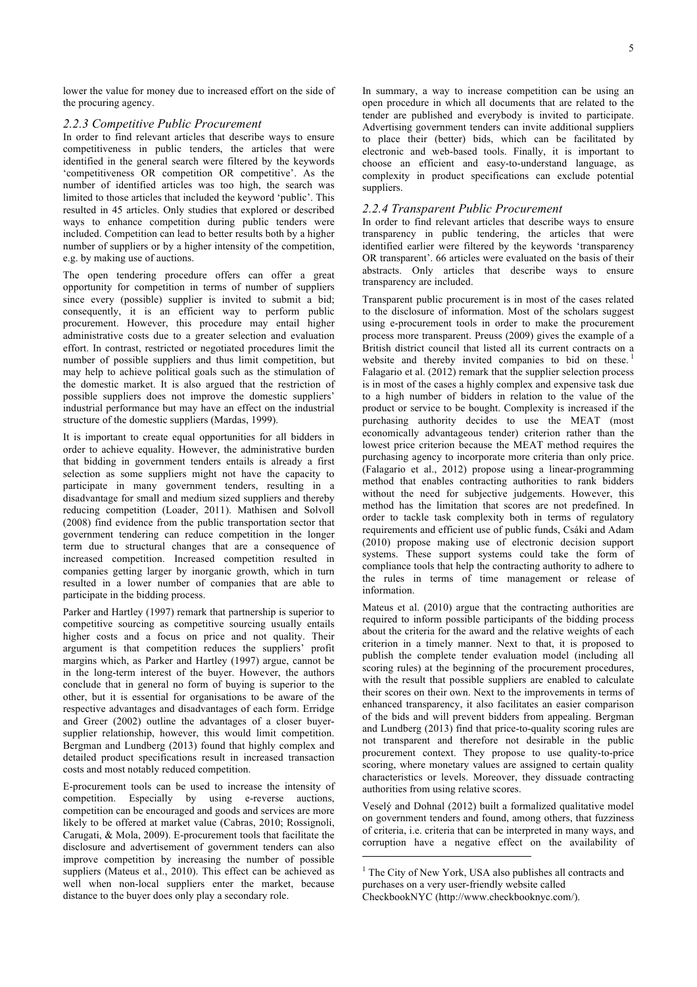lower the value for money due to increased effort on the side of the procuring agency.

### *2.2.3 Competitive Public Procurement*

In order to find relevant articles that describe ways to ensure competitiveness in public tenders, the articles that were identified in the general search were filtered by the keywords 'competitiveness OR competition OR competitive'. As the number of identified articles was too high, the search was limited to those articles that included the keyword 'public'. This resulted in 45 articles. Only studies that explored or described ways to enhance competition during public tenders were included. Competition can lead to better results both by a higher number of suppliers or by a higher intensity of the competition, e.g. by making use of auctions.

The open tendering procedure offers can offer a great opportunity for competition in terms of number of suppliers since every (possible) supplier is invited to submit a bid; consequently, it is an efficient way to perform public procurement. However, this procedure may entail higher administrative costs due to a greater selection and evaluation effort. In contrast, restricted or negotiated procedures limit the number of possible suppliers and thus limit competition, but may help to achieve political goals such as the stimulation of the domestic market. It is also argued that the restriction of possible suppliers does not improve the domestic suppliers' industrial performance but may have an effect on the industrial structure of the domestic suppliers (Mardas, 1999).

It is important to create equal opportunities for all bidders in order to achieve equality. However, the administrative burden that bidding in government tenders entails is already a first selection as some suppliers might not have the capacity to participate in many government tenders, resulting in a disadvantage for small and medium sized suppliers and thereby reducing competition (Loader, 2011). Mathisen and Solvoll (2008) find evidence from the public transportation sector that government tendering can reduce competition in the longer term due to structural changes that are a consequence of increased competition. Increased competition resulted in companies getting larger by inorganic growth, which in turn resulted in a lower number of companies that are able to participate in the bidding process.

Parker and Hartley (1997) remark that partnership is superior to competitive sourcing as competitive sourcing usually entails higher costs and a focus on price and not quality. Their argument is that competition reduces the suppliers' profit margins which, as Parker and Hartley (1997) argue, cannot be in the long-term interest of the buyer. However, the authors conclude that in general no form of buying is superior to the other, but it is essential for organisations to be aware of the respective advantages and disadvantages of each form. Erridge and Greer (2002) outline the advantages of a closer buyersupplier relationship, however, this would limit competition. Bergman and Lundberg (2013) found that highly complex and detailed product specifications result in increased transaction costs and most notably reduced competition.

E-procurement tools can be used to increase the intensity of competition. Especially by using e-reverse auctions, competition can be encouraged and goods and services are more likely to be offered at market value (Cabras, 2010; Rossignoli, Carugati, & Mola, 2009). E-procurement tools that facilitate the disclosure and advertisement of government tenders can also improve competition by increasing the number of possible suppliers (Mateus et al., 2010). This effect can be achieved as well when non-local suppliers enter the market, because distance to the buyer does only play a secondary role.

In summary, a way to increase competition can be using an open procedure in which all documents that are related to the tender are published and everybody is invited to participate. Advertising government tenders can invite additional suppliers to place their (better) bids, which can be facilitated by electronic and web-based tools. Finally, it is important to choose an efficient and easy-to-understand language, as complexity in product specifications can exclude potential suppliers.

#### *2.2.4 Transparent Public Procurement*

In order to find relevant articles that describe ways to ensure transparency in public tendering, the articles that were identified earlier were filtered by the keywords 'transparency OR transparent'. 66 articles were evaluated on the basis of their abstracts. Only articles that describe ways to ensure transparency are included.

Transparent public procurement is in most of the cases related to the disclosure of information. Most of the scholars suggest using e-procurement tools in order to make the procurement process more transparent. Preuss (2009) gives the example of a British district council that listed all its current contracts on a website and thereby invited companies to bid on these.<sup>1</sup> Falagario et al. (2012) remark that the supplier selection process is in most of the cases a highly complex and expensive task due to a high number of bidders in relation to the value of the product or service to be bought. Complexity is increased if the purchasing authority decides to use the MEAT (most economically advantageous tender) criterion rather than the lowest price criterion because the MEAT method requires the purchasing agency to incorporate more criteria than only price. (Falagario et al., 2012) propose using a linear-programming method that enables contracting authorities to rank bidders without the need for subjective judgements. However, this method has the limitation that scores are not predefined. In order to tackle task complexity both in terms of regulatory requirements and efficient use of public funds, Csáki and Adam (2010) propose making use of electronic decision support systems. These support systems could take the form of compliance tools that help the contracting authority to adhere to the rules in terms of time management or release of information.

Mateus et al. (2010) argue that the contracting authorities are required to inform possible participants of the bidding process about the criteria for the award and the relative weights of each criterion in a timely manner. Next to that, it is proposed to publish the complete tender evaluation model (including all scoring rules) at the beginning of the procurement procedures, with the result that possible suppliers are enabled to calculate their scores on their own. Next to the improvements in terms of enhanced transparency, it also facilitates an easier comparison of the bids and will prevent bidders from appealing. Bergman and Lundberg (2013) find that price-to-quality scoring rules are not transparent and therefore not desirable in the public procurement context. They propose to use quality-to-price scoring, where monetary values are assigned to certain quality characteristics or levels. Moreover, they dissuade contracting authorities from using relative scores.

Veselý and Dohnal (2012) built a formalized qualitative model on government tenders and found, among others, that fuzziness of criteria, i.e. criteria that can be interpreted in many ways, and corruption have a negative effect on the availability of

 $\overline{a}$ 

<sup>&</sup>lt;sup>1</sup> The City of New York, USA also publishes all contracts and purchases on a very user-friendly website called CheckbookNYC (http://www.checkbooknyc.com/).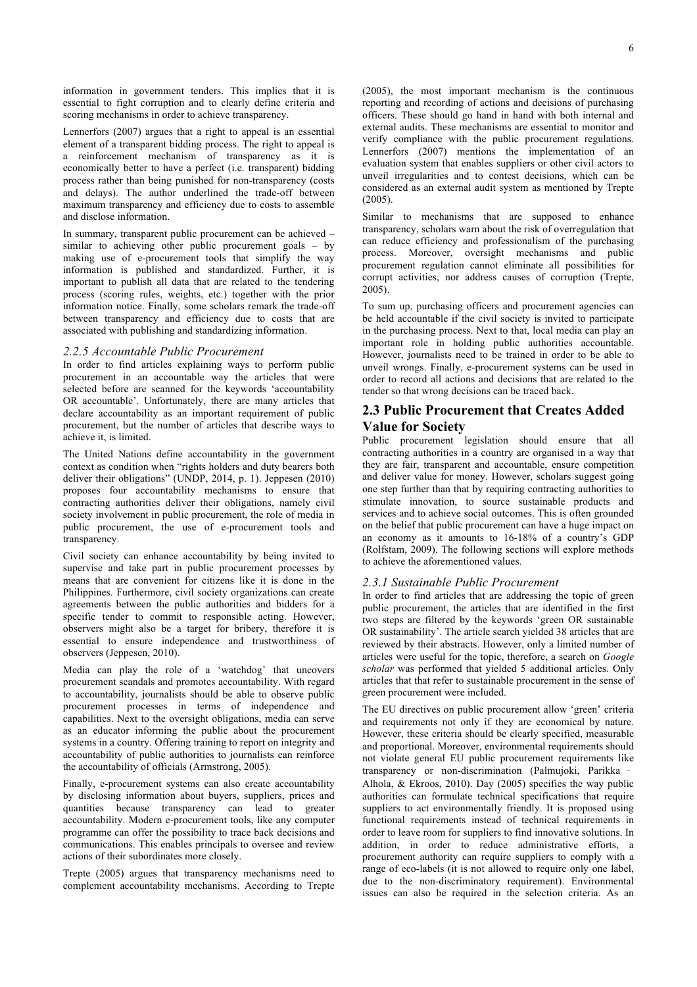information in government tenders. This implies that it is essential to fight corruption and to clearly define criteria and scoring mechanisms in order to achieve transparency.

Lennerfors (2007) argues that a right to appeal is an essential element of a transparent bidding process. The right to appeal is a reinforcement mechanism of transparency as it is economically better to have a perfect (i.e. transparent) bidding process rather than being punished for non-transparency (costs and delays). The author underlined the trade-off between maximum transparency and efficiency due to costs to assemble and disclose information.

In summary, transparent public procurement can be achieved – similar to achieving other public procurement goals – by making use of e-procurement tools that simplify the way information is published and standardized. Further, it is important to publish all data that are related to the tendering process (scoring rules, weights, etc.) together with the prior information notice. Finally, some scholars remark the trade-off between transparency and efficiency due to costs that are associated with publishing and standardizing information.

#### *2.2.5 Accountable Public Procurement*

In order to find articles explaining ways to perform public procurement in an accountable way the articles that were selected before are scanned for the keywords 'accountability OR accountable'. Unfortunately, there are many articles that declare accountability as an important requirement of public procurement, but the number of articles that describe ways to achieve it, is limited.

The United Nations define accountability in the government context as condition when "rights holders and duty bearers both deliver their obligations" (UNDP, 2014, p. 1). Jeppesen (2010) proposes four accountability mechanisms to ensure that contracting authorities deliver their obligations, namely civil society involvement in public procurement, the role of media in public procurement, the use of e-procurement tools and transparency.

Civil society can enhance accountability by being invited to supervise and take part in public procurement processes by means that are convenient for citizens like it is done in the Philippines. Furthermore, civil society organizations can create agreements between the public authorities and bidders for a specific tender to commit to responsible acting. However, observers might also be a target for bribery, therefore it is essential to ensure independence and trustworthiness of observers (Jeppesen, 2010).

Media can play the role of a 'watchdog' that uncovers procurement scandals and promotes accountability. With regard to accountability, journalists should be able to observe public procurement processes in terms of independence and capabilities. Next to the oversight obligations, media can serve as an educator informing the public about the procurement systems in a country. Offering training to report on integrity and accountability of public authorities to journalists can reinforce the accountability of officials (Armstrong, 2005).

Finally, e-procurement systems can also create accountability by disclosing information about buyers, suppliers, prices and quantities because transparency can lead to greater accountability. Modern e-procurement tools, like any computer programme can offer the possibility to trace back decisions and communications. This enables principals to oversee and review actions of their subordinates more closely.

Trepte (2005) argues that transparency mechanisms need to complement accountability mechanisms. According to Trepte

(2005), the most important mechanism is the continuous reporting and recording of actions and decisions of purchasing officers. These should go hand in hand with both internal and external audits. These mechanisms are essential to monitor and verify compliance with the public procurement regulations. Lennerfors (2007) mentions the implementation of an evaluation system that enables suppliers or other civil actors to unveil irregularities and to contest decisions, which can be considered as an external audit system as mentioned by Trepte (2005).

Similar to mechanisms that are supposed to enhance transparency, scholars warn about the risk of overregulation that can reduce efficiency and professionalism of the purchasing process. Moreover, oversight mechanisms and public procurement regulation cannot eliminate all possibilities for corrupt activities, nor address causes of corruption (Trepte,  $2005$ ).

To sum up, purchasing officers and procurement agencies can be held accountable if the civil society is invited to participate in the purchasing process. Next to that, local media can play an important role in holding public authorities accountable. However, journalists need to be trained in order to be able to unveil wrongs. Finally, e-procurement systems can be used in order to record all actions and decisions that are related to the tender so that wrong decisions can be traced back.

### **2.3 Public Procurement that Creates Added Value for Society**

Public procurement legislation should ensure that all contracting authorities in a country are organised in a way that they are fair, transparent and accountable, ensure competition and deliver value for money. However, scholars suggest going one step further than that by requiring contracting authorities to stimulate innovation, to source sustainable products and services and to achieve social outcomes. This is often grounded on the belief that public procurement can have a huge impact on an economy as it amounts to 16-18% of a country's GDP (Rolfstam, 2009). The following sections will explore methods to achieve the aforementioned values.

### *2.3.1 Sustainable Public Procurement*

In order to find articles that are addressing the topic of green public procurement, the articles that are identified in the first two steps are filtered by the keywords 'green OR sustainable OR sustainability'. The article search yielded 38 articles that are reviewed by their abstracts. However, only a limited number of articles were useful for the topic, therefore, a search on *Google scholar* was performed that yielded 5 additional articles. Only articles that that refer to sustainable procurement in the sense of green procurement were included.

The EU directives on public procurement allow 'green' criteria and requirements not only if they are economical by nature. However, these criteria should be clearly specified, measurable and proportional. Moreover, environmental requirements should not violate general EU public procurement requirements like transparency or non-discrimination (Palmujoki, Parikka ‐

Alhola, & Ekroos, 2010). Day (2005) specifies the way public authorities can formulate technical specifications that require suppliers to act environmentally friendly. It is proposed using functional requirements instead of technical requirements in order to leave room for suppliers to find innovative solutions. In addition, in order to reduce administrative efforts, a procurement authority can require suppliers to comply with a range of eco-labels (it is not allowed to require only one label, due to the non-discriminatory requirement). Environmental issues can also be required in the selection criteria. As an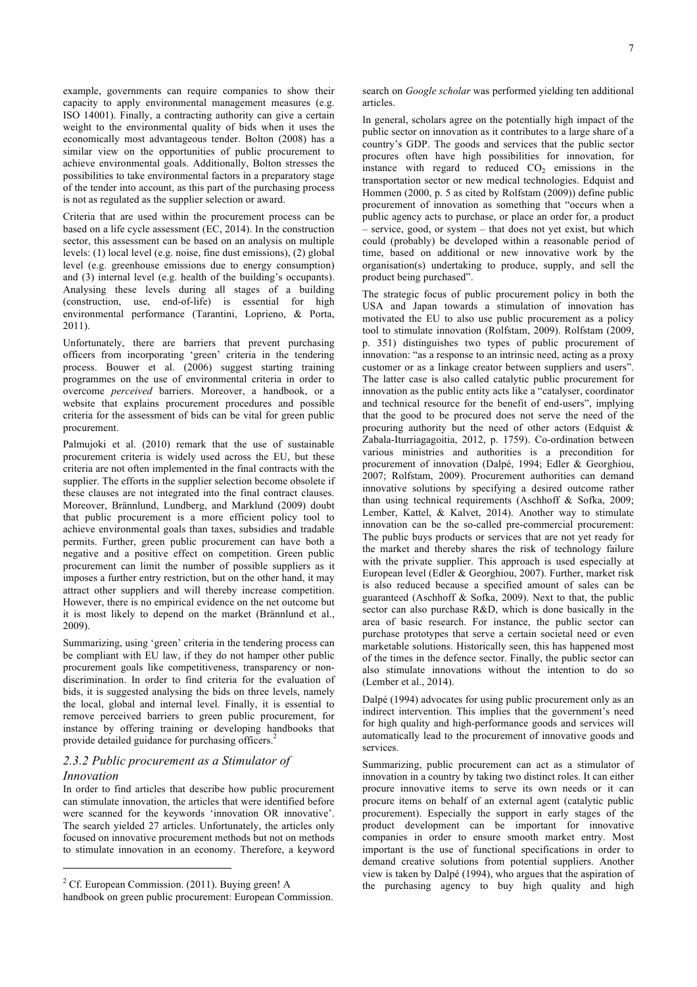example, governments can require companies to show their capacity to apply environmental management measures (e.g. ISO 14001). Finally, a contracting authority can give a certain weight to the environmental quality of bids when it uses the economically most advantageous tender. Bolton (2008) has a similar view on the opportunities of public procurement to achieve environmental goals. Additionally, Bolton stresses the possibilities to take environmental factors in a preparatory stage of the tender into account, as this part of the purchasing process is not as regulated as the supplier selection or award.

Criteria that are used within the procurement process can be based on a life cycle assessment (EC, 2014). In the construction sector, this assessment can be based on an analysis on multiple levels: (1) local level (e.g. noise, fine dust emissions), (2) global level (e.g. greenhouse emissions due to energy consumption) and (3) internal level (e.g. health of the building's occupants). Analysing these levels during all stages of a building (construction, use, end-of-life) is essential for high environmental performance (Tarantini, Loprieno, & Porta, 2011).

Unfortunately, there are barriers that prevent purchasing officers from incorporating 'green' criteria in the tendering process. Bouwer et al. (2006) suggest starting training programmes on the use of environmental criteria in order to overcome *perceived* barriers. Moreover, a handbook, or a website that explains procurement procedures and possible criteria for the assessment of bids can be vital for green public procurement.

Palmujoki et al. (2010) remark that the use of sustainable procurement criteria is widely used across the EU, but these criteria are not often implemented in the final contracts with the supplier. The efforts in the supplier selection become obsolete if these clauses are not integrated into the final contract clauses. Moreover, Brännlund, Lundberg, and Marklund (2009) doubt that public procurement is a more efficient policy tool to achieve environmental goals than taxes, subsidies and tradable permits. Further, green public procurement can have both a negative and a positive effect on competition. Green public procurement can limit the number of possible suppliers as it imposes a further entry restriction, but on the other hand, it may attract other suppliers and will thereby increase competition. However, there is no empirical evidence on the net outcome but it is most likely to depend on the market (Brännlund et al., 2009).

Summarizing, using 'green' criteria in the tendering process can be compliant with EU law, if they do not hamper other public procurement goals like competitiveness, transparency or nondiscrimination. In order to find criteria for the evaluation of bids, it is suggested analysing the bids on three levels, namely the local, global and internal level. Finally, it is essential to remove perceived barriers to green public procurement, for instance by offering training or developing handbooks that provide detailed guidance for purchasing officers.<sup>2</sup>

### *2.3.2 Public procurement as a Stimulator of Innovation*

In order to find articles that describe how public procurement can stimulate innovation, the articles that were identified before were scanned for the keywords 'innovation OR innovative'. The search yielded 27 articles. Unfortunately, the articles only focused on innovative procurement methods but not on methods to stimulate innovation in an economy. Therefore, a keyword

 $\overline{a}$ 

search on *Google scholar* was performed yielding ten additional articles.

In general, scholars agree on the potentially high impact of the public sector on innovation as it contributes to a large share of a country's GDP. The goods and services that the public sector procures often have high possibilities for innovation, for instance with regard to reduced  $CO<sub>2</sub>$  emissions in the transportation sector or new medical technologies. Edquist and Hommen (2000, p. 5 as cited by Rolfstam (2009)) define public procurement of innovation as something that "occurs when a public agency acts to purchase, or place an order for, a product – service, good, or system – that does not yet exist, but which could (probably) be developed within a reasonable period of time, based on additional or new innovative work by the organisation(s) undertaking to produce, supply, and sell the product being purchased".

The strategic focus of public procurement policy in both the USA and Japan towards a stimulation of innovation has motivated the EU to also use public procurement as a policy tool to stimulate innovation (Rolfstam, 2009). Rolfstam (2009, p. 351) distinguishes two types of public procurement of innovation: "as a response to an intrinsic need, acting as a proxy customer or as a linkage creator between suppliers and users". The latter case is also called catalytic public procurement for innovation as the public entity acts like a "catalyser, coordinator and technical resource for the benefit of end-users", implying that the good to be procured does not serve the need of the procuring authority but the need of other actors (Edquist & Zabala-Iturriagagoitia, 2012, p. 1759). Co-ordination between various ministries and authorities is a precondition for procurement of innovation (Dalpé, 1994; Edler & Georghiou, 2007; Rolfstam, 2009). Procurement authorities can demand innovative solutions by specifying a desired outcome rather than using technical requirements (Aschhoff & Sofka, 2009; Lember, Kattel, & Kalvet, 2014). Another way to stimulate innovation can be the so-called pre-commercial procurement: The public buys products or services that are not yet ready for the market and thereby shares the risk of technology failure with the private supplier. This approach is used especially at European level (Edler & Georghiou, 2007). Further, market risk is also reduced because a specified amount of sales can be guaranteed (Aschhoff & Sofka, 2009). Next to that, the public sector can also purchase R&D, which is done basically in the area of basic research. For instance, the public sector can purchase prototypes that serve a certain societal need or even marketable solutions. Historically seen, this has happened most of the times in the defence sector. Finally, the public sector can also stimulate innovations without the intention to do so (Lember et al., 2014).

Dalpé (1994) advocates for using public procurement only as an indirect intervention. This implies that the government's need for high quality and high-performance goods and services will automatically lead to the procurement of innovative goods and services.

Summarizing, public procurement can act as a stimulator of innovation in a country by taking two distinct roles. It can either procure innovative items to serve its own needs or it can procure items on behalf of an external agent (catalytic public procurement). Especially the support in early stages of the product development can be important for innovative companies in order to ensure smooth market entry. Most important is the use of functional specifications in order to demand creative solutions from potential suppliers. Another view is taken by Dalpé (1994), who argues that the aspiration of the purchasing agency to buy high quality and high

<sup>&</sup>lt;sup>2</sup> Cf. European Commission. (2011). Buying green! A

handbook on green public procurement: European Commission.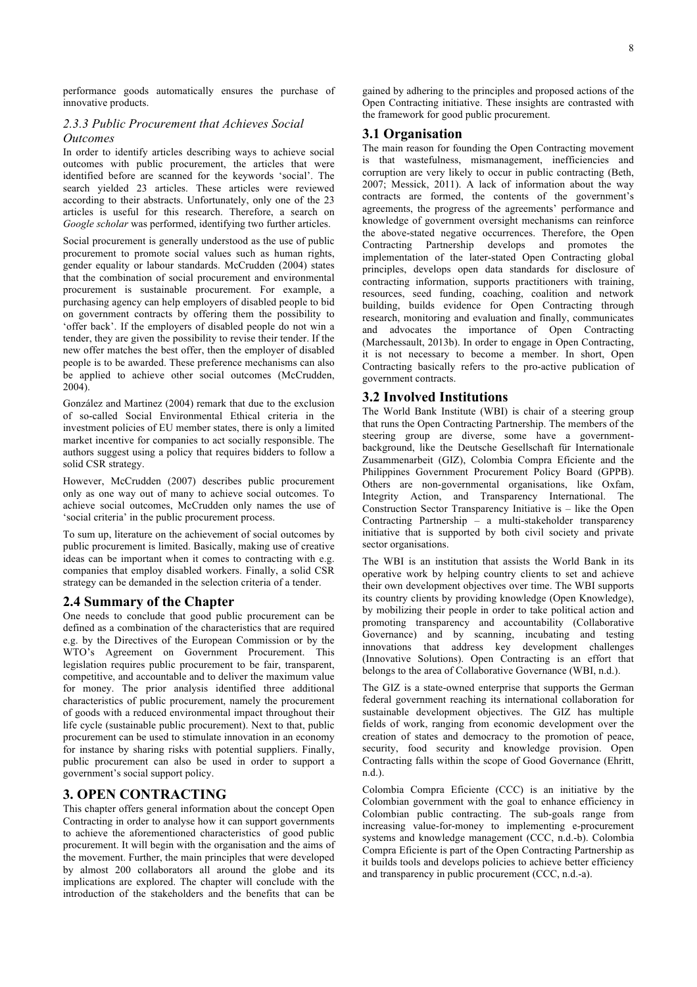performance goods automatically ensures the purchase of innovative products.

### *2.3.3 Public Procurement that Achieves Social Outcomes*

In order to identify articles describing ways to achieve social outcomes with public procurement, the articles that were identified before are scanned for the keywords 'social'. The search yielded 23 articles. These articles were reviewed according to their abstracts. Unfortunately, only one of the 23 articles is useful for this research. Therefore, a search on *Google scholar* was performed, identifying two further articles.

Social procurement is generally understood as the use of public procurement to promote social values such as human rights, gender equality or labour standards. McCrudden (2004) states that the combination of social procurement and environmental procurement is sustainable procurement. For example, a purchasing agency can help employers of disabled people to bid on government contracts by offering them the possibility to 'offer back'. If the employers of disabled people do not win a tender, they are given the possibility to revise their tender. If the new offer matches the best offer, then the employer of disabled people is to be awarded. These preference mechanisms can also be applied to achieve other social outcomes (McCrudden, 2004).

González and Martinez (2004) remark that due to the exclusion of so-called Social Environmental Ethical criteria in the investment policies of EU member states, there is only a limited market incentive for companies to act socially responsible. The authors suggest using a policy that requires bidders to follow a solid CSR strategy.

However, McCrudden (2007) describes public procurement only as one way out of many to achieve social outcomes. To achieve social outcomes, McCrudden only names the use of 'social criteria' in the public procurement process.

To sum up, literature on the achievement of social outcomes by public procurement is limited. Basically, making use of creative ideas can be important when it comes to contracting with e.g. companies that employ disabled workers. Finally, a solid CSR strategy can be demanded in the selection criteria of a tender.

# **2.4 Summary of the Chapter**

One needs to conclude that good public procurement can be defined as a combination of the characteristics that are required e.g. by the Directives of the European Commission or by the WTO's Agreement on Government Procurement. This legislation requires public procurement to be fair, transparent, competitive, and accountable and to deliver the maximum value for money. The prior analysis identified three additional characteristics of public procurement, namely the procurement of goods with a reduced environmental impact throughout their life cycle (sustainable public procurement). Next to that, public procurement can be used to stimulate innovation in an economy for instance by sharing risks with potential suppliers. Finally, public procurement can also be used in order to support a government's social support policy.

# **3. OPEN CONTRACTING**

This chapter offers general information about the concept Open Contracting in order to analyse how it can support governments to achieve the aforementioned characteristics of good public procurement. It will begin with the organisation and the aims of the movement. Further, the main principles that were developed by almost 200 collaborators all around the globe and its implications are explored. The chapter will conclude with the introduction of the stakeholders and the benefits that can be gained by adhering to the principles and proposed actions of the Open Contracting initiative. These insights are contrasted with the framework for good public procurement.

# **3.1 Organisation**

The main reason for founding the Open Contracting movement is that wastefulness, mismanagement, inefficiencies and corruption are very likely to occur in public contracting (Beth, 2007; Messick, 2011). A lack of information about the way contracts are formed, the contents of the government's agreements, the progress of the agreements' performance and knowledge of government oversight mechanisms can reinforce the above-stated negative occurrences. Therefore, the Open Contracting Partnership develops and promotes the implementation of the later-stated Open Contracting global principles, develops open data standards for disclosure of contracting information, supports practitioners with training, resources, seed funding, coaching, coalition and network building, builds evidence for Open Contracting through research, monitoring and evaluation and finally, communicates and advocates the importance of Open Contracting (Marchessault, 2013b). In order to engage in Open Contracting, it is not necessary to become a member. In short, Open Contracting basically refers to the pro-active publication of government contracts.

# **3.2 Involved Institutions**

The World Bank Institute (WBI) is chair of a steering group that runs the Open Contracting Partnership. The members of the steering group are diverse, some have a governmentbackground, like the Deutsche Gesellschaft für Internationale Zusammenarbeit (GIZ), Colombia Compra Eficiente and the Philippines Government Procurement Policy Board (GPPB). Others are non-governmental organisations, like Oxfam, Integrity Action, and Transparency International. The Construction Sector Transparency Initiative is – like the Open Contracting Partnership – a multi-stakeholder transparency initiative that is supported by both civil society and private sector organisations.

The WBI is an institution that assists the World Bank in its operative work by helping country clients to set and achieve their own development objectives over time. The WBI supports its country clients by providing knowledge (Open Knowledge), by mobilizing their people in order to take political action and promoting transparency and accountability (Collaborative Governance) and by scanning, incubating and testing innovations that address key development challenges (Innovative Solutions). Open Contracting is an effort that belongs to the area of Collaborative Governance (WBI, n.d.).

The GIZ is a state-owned enterprise that supports the German federal government reaching its international collaboration for sustainable development objectives. The GIZ has multiple fields of work, ranging from economic development over the creation of states and democracy to the promotion of peace, security, food security and knowledge provision. Open Contracting falls within the scope of Good Governance (Ehritt, n.d.).

Colombia Compra Eficiente (CCC) is an initiative by the Colombian government with the goal to enhance efficiency in Colombian public contracting. The sub-goals range from increasing value-for-money to implementing e-procurement systems and knowledge management (CCC, n.d.-b). Colombia Compra Eficiente is part of the Open Contracting Partnership as it builds tools and develops policies to achieve better efficiency and transparency in public procurement (CCC, n.d.-a).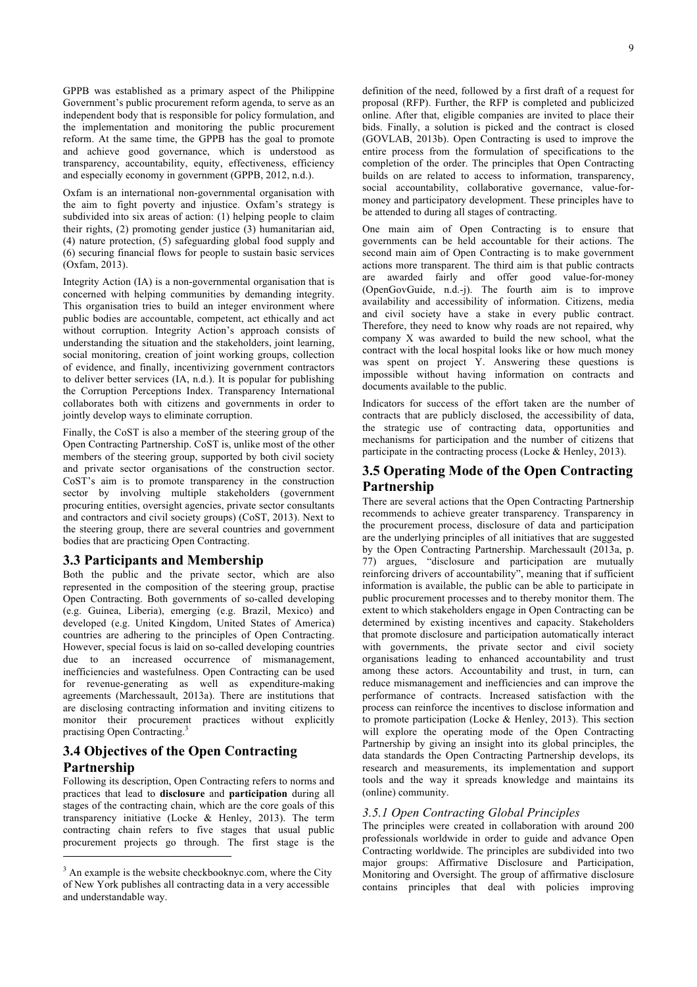GPPB was established as a primary aspect of the Philippine Government's public procurement reform agenda, to serve as an independent body that is responsible for policy formulation, and the implementation and monitoring the public procurement reform. At the same time, the GPPB has the goal to promote and achieve good governance, which is understood as transparency, accountability, equity, effectiveness, efficiency and especially economy in government (GPPB, 2012, n.d.).

Oxfam is an international non-governmental organisation with the aim to fight poverty and injustice. Oxfam's strategy is subdivided into six areas of action: (1) helping people to claim their rights, (2) promoting gender justice (3) humanitarian aid, (4) nature protection, (5) safeguarding global food supply and (6) securing financial flows for people to sustain basic services (Oxfam, 2013).

Integrity Action (IA) is a non-governmental organisation that is concerned with helping communities by demanding integrity. This organisation tries to build an integer environment where public bodies are accountable, competent, act ethically and act without corruption. Integrity Action's approach consists of understanding the situation and the stakeholders, joint learning, social monitoring, creation of joint working groups, collection of evidence, and finally, incentivizing government contractors to deliver better services (IA, n.d.). It is popular for publishing the Corruption Perceptions Index. Transparency International collaborates both with citizens and governments in order to jointly develop ways to eliminate corruption.

Finally, the CoST is also a member of the steering group of the Open Contracting Partnership. CoST is, unlike most of the other members of the steering group, supported by both civil society and private sector organisations of the construction sector. CoST's aim is to promote transparency in the construction sector by involving multiple stakeholders (government procuring entities, oversight agencies, private sector consultants and contractors and civil society groups) (CoST, 2013). Next to the steering group, there are several countries and government bodies that are practicing Open Contracting.

### **3.3 Participants and Membership**

Both the public and the private sector, which are also represented in the composition of the steering group, practise Open Contracting. Both governments of so-called developing (e.g. Guinea, Liberia), emerging (e.g. Brazil, Mexico) and developed (e.g. United Kingdom, United States of America) countries are adhering to the principles of Open Contracting. However, special focus is laid on so-called developing countries due to an increased occurrence of mismanagement, inefficiencies and wastefulness. Open Contracting can be used for revenue-generating as well as expenditure-making agreements (Marchessault, 2013a). There are institutions that are disclosing contracting information and inviting citizens to monitor their procurement practices without explicitly practising Open Contracting. 3

# **3.4 Objectives of the Open Contracting Partnership**

 $\overline{a}$ 

Following its description, Open Contracting refers to norms and practices that lead to **disclosure** and **participation** during all stages of the contracting chain, which are the core goals of this transparency initiative (Locke & Henley, 2013). The term contracting chain refers to five stages that usual public procurement projects go through. The first stage is the definition of the need, followed by a first draft of a request for proposal (RFP). Further, the RFP is completed and publicized online. After that, eligible companies are invited to place their bids. Finally, a solution is picked and the contract is closed (GOVLAB, 2013b). Open Contracting is used to improve the entire process from the formulation of specifications to the completion of the order. The principles that Open Contracting builds on are related to access to information, transparency, social accountability, collaborative governance, value-formoney and participatory development. These principles have to be attended to during all stages of contracting.

One main aim of Open Contracting is to ensure that governments can be held accountable for their actions. The second main aim of Open Contracting is to make government actions more transparent. The third aim is that public contracts are awarded fairly and offer good value-for-money (OpenGovGuide, n.d.-j). The fourth aim is to improve availability and accessibility of information. Citizens, media and civil society have a stake in every public contract. Therefore, they need to know why roads are not repaired, why company X was awarded to build the new school, what the contract with the local hospital looks like or how much money was spent on project Y. Answering these questions is impossible without having information on contracts and documents available to the public.

Indicators for success of the effort taken are the number of contracts that are publicly disclosed, the accessibility of data, the strategic use of contracting data, opportunities and mechanisms for participation and the number of citizens that participate in the contracting process (Locke & Henley, 2013).

# **3.5 Operating Mode of the Open Contracting Partnership**

There are several actions that the Open Contracting Partnership recommends to achieve greater transparency. Transparency in the procurement process, disclosure of data and participation are the underlying principles of all initiatives that are suggested by the Open Contracting Partnership. Marchessault (2013a, p. 77) argues, "disclosure and participation are mutually reinforcing drivers of accountability", meaning that if sufficient information is available, the public can be able to participate in public procurement processes and to thereby monitor them. The extent to which stakeholders engage in Open Contracting can be determined by existing incentives and capacity. Stakeholders that promote disclosure and participation automatically interact with governments, the private sector and civil society organisations leading to enhanced accountability and trust among these actors. Accountability and trust, in turn, can reduce mismanagement and inefficiencies and can improve the performance of contracts. Increased satisfaction with the process can reinforce the incentives to disclose information and to promote participation (Locke & Henley, 2013). This section will explore the operating mode of the Open Contracting Partnership by giving an insight into its global principles, the data standards the Open Contracting Partnership develops, its research and measurements, its implementation and support tools and the way it spreads knowledge and maintains its (online) community.

# *3.5.1 Open Contracting Global Principles*

The principles were created in collaboration with around 200 professionals worldwide in order to guide and advance Open Contracting worldwide. The principles are subdivided into two major groups: Affirmative Disclosure and Participation, Monitoring and Oversight. The group of affirmative disclosure contains principles that deal with policies improving

<sup>&</sup>lt;sup>3</sup> An example is the website checkbooknyc.com, where the City of New York publishes all contracting data in a very accessible and understandable way.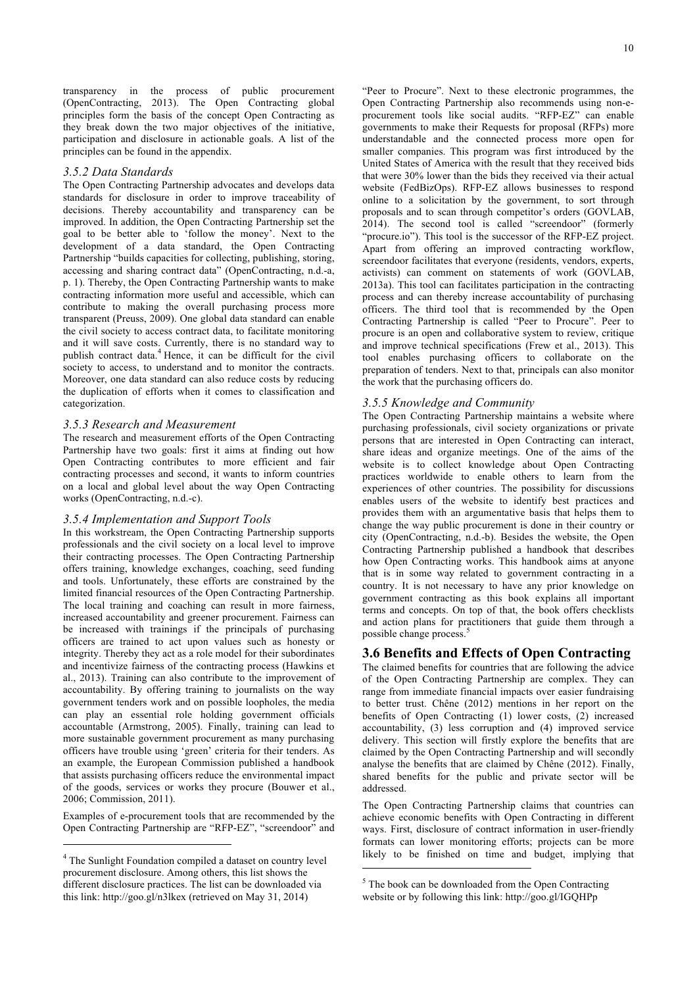transparency in the process of public procurement (OpenContracting, 2013). The Open Contracting global principles form the basis of the concept Open Contracting as they break down the two major objectives of the initiative, participation and disclosure in actionable goals. A list of the principles can be found in the appendix.

#### *3.5.2 Data Standards*

The Open Contracting Partnership advocates and develops data standards for disclosure in order to improve traceability of decisions. Thereby accountability and transparency can be improved. In addition, the Open Contracting Partnership set the goal to be better able to 'follow the money'. Next to the development of a data standard, the Open Contracting Partnership "builds capacities for collecting, publishing, storing, accessing and sharing contract data" (OpenContracting, n.d.-a, p. 1). Thereby, the Open Contracting Partnership wants to make contracting information more useful and accessible, which can contribute to making the overall purchasing process more transparent (Preuss, 2009). One global data standard can enable the civil society to access contract data, to facilitate monitoring and it will save costs. Currently, there is no standard way to publish contract data.<sup>4</sup> Hence, it can be difficult for the civil society to access, to understand and to monitor the contracts. Moreover, one data standard can also reduce costs by reducing the duplication of efforts when it comes to classification and categorization.

#### *3.5.3 Research and Measurement*

The research and measurement efforts of the Open Contracting Partnership have two goals: first it aims at finding out how Open Contracting contributes to more efficient and fair contracting processes and second, it wants to inform countries on a local and global level about the way Open Contracting works (OpenContracting, n.d.-c).

#### *3.5.4 Implementation and Support Tools*

In this workstream, the Open Contracting Partnership supports professionals and the civil society on a local level to improve their contracting processes. The Open Contracting Partnership offers training, knowledge exchanges, coaching, seed funding and tools. Unfortunately, these efforts are constrained by the limited financial resources of the Open Contracting Partnership. The local training and coaching can result in more fairness, increased accountability and greener procurement. Fairness can be increased with trainings if the principals of purchasing officers are trained to act upon values such as honesty or integrity. Thereby they act as a role model for their subordinates and incentivize fairness of the contracting process (Hawkins et al., 2013). Training can also contribute to the improvement of accountability. By offering training to journalists on the way government tenders work and on possible loopholes, the media can play an essential role holding government officials accountable (Armstrong, 2005). Finally, training can lead to more sustainable government procurement as many purchasing officers have trouble using 'green' criteria for their tenders. As an example, the European Commission published a handbook that assists purchasing officers reduce the environmental impact of the goods, services or works they procure (Bouwer et al., 2006; Commission, 2011).

Examples of e-procurement tools that are recommended by the Open Contracting Partnership are "RFP-EZ", "screendoor" and

 $\overline{a}$ 

"Peer to Procure". Next to these electronic programmes, the Open Contracting Partnership also recommends using non-eprocurement tools like social audits. "RFP-EZ" can enable governments to make their Requests for proposal (RFPs) more understandable and the connected process more open for smaller companies. This program was first introduced by the United States of America with the result that they received bids that were 30% lower than the bids they received via their actual website (FedBizOps). RFP-EZ allows businesses to respond online to a solicitation by the government, to sort through proposals and to scan through competitor's orders (GOVLAB, 2014). The second tool is called "screendoor" (formerly "procure.io"). This tool is the successor of the RFP-EZ project. Apart from offering an improved contracting workflow, screendoor facilitates that everyone (residents, vendors, experts, activists) can comment on statements of work (GOVLAB, 2013a). This tool can facilitates participation in the contracting process and can thereby increase accountability of purchasing officers. The third tool that is recommended by the Open Contracting Partnership is called "Peer to Procure". Peer to procure is an open and collaborative system to review, critique and improve technical specifications (Frew et al., 2013). This tool enables purchasing officers to collaborate on the preparation of tenders. Next to that, principals can also monitor the work that the purchasing officers do.

#### *3.5.5 Knowledge and Community*

The Open Contracting Partnership maintains a website where purchasing professionals, civil society organizations or private persons that are interested in Open Contracting can interact, share ideas and organize meetings. One of the aims of the website is to collect knowledge about Open Contracting practices worldwide to enable others to learn from the experiences of other countries. The possibility for discussions enables users of the website to identify best practices and provides them with an argumentative basis that helps them to change the way public procurement is done in their country or city (OpenContracting, n.d.-b). Besides the website, the Open Contracting Partnership published a handbook that describes how Open Contracting works. This handbook aims at anyone that is in some way related to government contracting in a country. It is not necessary to have any prior knowledge on government contracting as this book explains all important terms and concepts. On top of that, the book offers checklists and action plans for practitioners that guide them through a possible change process.<sup>5</sup>

### **3.6 Benefits and Effects of Open Contracting**

The claimed benefits for countries that are following the advice of the Open Contracting Partnership are complex. They can range from immediate financial impacts over easier fundraising to better trust. Chêne (2012) mentions in her report on the benefits of Open Contracting  $(1)$  lower costs,  $(2)$  increased accountability, (3) less corruption and (4) improved service delivery. This section will firstly explore the benefits that are claimed by the Open Contracting Partnership and will secondly analyse the benefits that are claimed by Chêne (2012). Finally, shared benefits for the public and private sector will be addressed.

The Open Contracting Partnership claims that countries can achieve economic benefits with Open Contracting in different ways. First, disclosure of contract information in user-friendly formats can lower monitoring efforts; projects can be more likely to be finished on time and budget, implying that

 $\overline{a}$ 

<sup>4</sup> The Sunlight Foundation compiled a dataset on country level procurement disclosure. Among others, this list shows the different disclosure practices. The list can be downloaded via this link: http://goo.gl/n3lkex (retrieved on May 31, 2014)

 $5$  The book can be downloaded from the Open Contracting website or by following this link: http://goo.gl/IGQHPp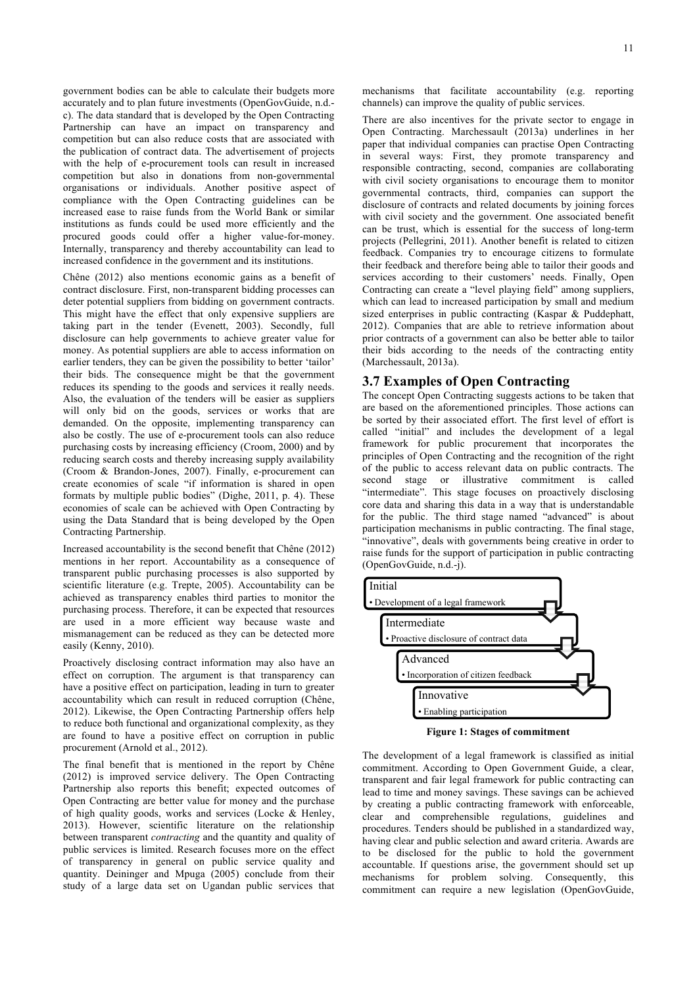government bodies can be able to calculate their budgets more accurately and to plan future investments (OpenGovGuide, n.d. c). The data standard that is developed by the Open Contracting Partnership can have an impact on transparency and competition but can also reduce costs that are associated with the publication of contract data. The advertisement of projects with the help of e-procurement tools can result in increased competition but also in donations from non-governmental organisations or individuals. Another positive aspect of compliance with the Open Contracting guidelines can be increased ease to raise funds from the World Bank or similar institutions as funds could be used more efficiently and the procured goods could offer a higher value-for-money. Internally, transparency and thereby accountability can lead to increased confidence in the government and its institutions.

Chêne (2012) also mentions economic gains as a benefit of contract disclosure. First, non-transparent bidding processes can deter potential suppliers from bidding on government contracts. This might have the effect that only expensive suppliers are taking part in the tender (Evenett, 2003). Secondly, full disclosure can help governments to achieve greater value for money. As potential suppliers are able to access information on earlier tenders, they can be given the possibility to better 'tailor' their bids. The consequence might be that the government reduces its spending to the goods and services it really needs. Also, the evaluation of the tenders will be easier as suppliers will only bid on the goods, services or works that are demanded. On the opposite, implementing transparency can also be costly. The use of e-procurement tools can also reduce purchasing costs by increasing efficiency (Croom, 2000) and by reducing search costs and thereby increasing supply availability (Croom & Brandon-Jones, 2007). Finally, e-procurement can create economies of scale "if information is shared in open formats by multiple public bodies" (Dighe, 2011, p. 4). These economies of scale can be achieved with Open Contracting by using the Data Standard that is being developed by the Open Contracting Partnership.

Increased accountability is the second benefit that Chêne (2012) mentions in her report. Accountability as a consequence of transparent public purchasing processes is also supported by scientific literature (e.g. Trepte, 2005). Accountability can be achieved as transparency enables third parties to monitor the purchasing process. Therefore, it can be expected that resources are used in a more efficient way because waste and mismanagement can be reduced as they can be detected more easily (Kenny, 2010).

Proactively disclosing contract information may also have an effect on corruption. The argument is that transparency can have a positive effect on participation, leading in turn to greater accountability which can result in reduced corruption (Chêne, 2012). Likewise, the Open Contracting Partnership offers help to reduce both functional and organizational complexity, as they are found to have a positive effect on corruption in public procurement (Arnold et al., 2012).

The final benefit that is mentioned in the report by Chêne (2012) is improved service delivery. The Open Contracting Partnership also reports this benefit; expected outcomes of Open Contracting are better value for money and the purchase of high quality goods, works and services (Locke & Henley, 2013). However, scientific literature on the relationship between transparent *contracting* and the quantity and quality of public services is limited. Research focuses more on the effect of transparency in general on public service quality and quantity. Deininger and Mpuga (2005) conclude from their study of a large data set on Ugandan public services that

mechanisms that facilitate accountability (e.g. reporting channels) can improve the quality of public services.

There are also incentives for the private sector to engage in Open Contracting. Marchessault (2013a) underlines in her paper that individual companies can practise Open Contracting in several ways: First, they promote transparency and responsible contracting, second, companies are collaborating with civil society organisations to encourage them to monitor governmental contracts, third, companies can support the disclosure of contracts and related documents by joining forces with civil society and the government. One associated benefit can be trust, which is essential for the success of long-term projects (Pellegrini, 2011). Another benefit is related to citizen feedback. Companies try to encourage citizens to formulate their feedback and therefore being able to tailor their goods and services according to their customers' needs. Finally, Open Contracting can create a "level playing field" among suppliers, which can lead to increased participation by small and medium sized enterprises in public contracting (Kaspar & Puddephatt, 2012). Companies that are able to retrieve information about prior contracts of a government can also be better able to tailor their bids according to the needs of the contracting entity (Marchessault, 2013a).

# **3.7 Examples of Open Contracting**

The concept Open Contracting suggests actions to be taken that are based on the aforementioned principles. Those actions can be sorted by their associated effort. The first level of effort is called "initial" and includes the development of a legal framework for public procurement that incorporates the principles of Open Contracting and the recognition of the right of the public to access relevant data on public contracts. The second stage or illustrative commitment is called "intermediate". This stage focuses on proactively disclosing core data and sharing this data in a way that is understandable for the public. The third stage named "advanced" is about participation mechanisms in public contracting. The final stage, 'innovative", deals with governments being creative in order to raise funds for the support of participation in public contracting (OpenGovGuide, n.d.-j).



**Figure 1: Stages of commitment**

The development of a legal framework is classified as initial commitment. According to Open Government Guide, a clear, transparent and fair legal framework for public contracting can lead to time and money savings. These savings can be achieved by creating a public contracting framework with enforceable, clear and comprehensible regulations, guidelines and procedures. Tenders should be published in a standardized way, having clear and public selection and award criteria. Awards are to be disclosed for the public to hold the government accountable. If questions arise, the government should set up mechanisms for problem solving. Consequently, this commitment can require a new legislation (OpenGovGuide,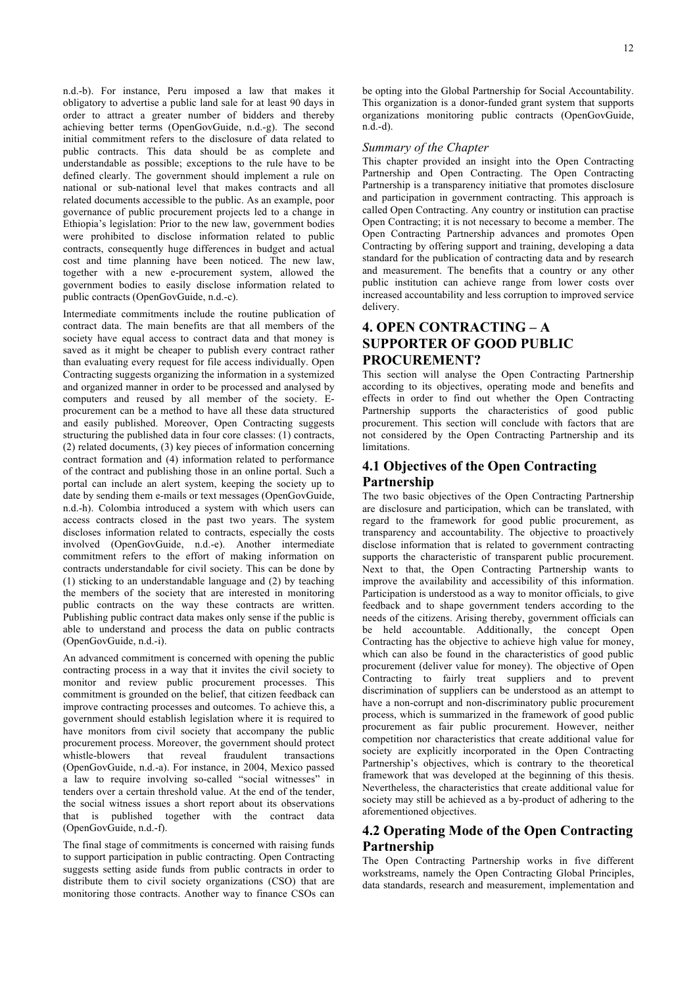n.d.-b). For instance, Peru imposed a law that makes it obligatory to advertise a public land sale for at least 90 days in order to attract a greater number of bidders and thereby achieving better terms (OpenGovGuide, n.d.-g). The second initial commitment refers to the disclosure of data related to public contracts. This data should be as complete and understandable as possible; exceptions to the rule have to be defined clearly. The government should implement a rule on national or sub-national level that makes contracts and all related documents accessible to the public. As an example, poor governance of public procurement projects led to a change in Ethiopia's legislation: Prior to the new law, government bodies were prohibited to disclose information related to public contracts, consequently huge differences in budget and actual cost and time planning have been noticed. The new law, together with a new e-procurement system, allowed the government bodies to easily disclose information related to public contracts (OpenGovGuide, n.d.-c).

Intermediate commitments include the routine publication of contract data. The main benefits are that all members of the society have equal access to contract data and that money is saved as it might be cheaper to publish every contract rather than evaluating every request for file access individually. Open Contracting suggests organizing the information in a systemized and organized manner in order to be processed and analysed by computers and reused by all member of the society. Eprocurement can be a method to have all these data structured and easily published. Moreover, Open Contracting suggests structuring the published data in four core classes: (1) contracts, (2) related documents, (3) key pieces of information concerning contract formation and (4) information related to performance of the contract and publishing those in an online portal. Such a portal can include an alert system, keeping the society up to date by sending them e-mails or text messages (OpenGovGuide, n.d.-h). Colombia introduced a system with which users can access contracts closed in the past two years. The system discloses information related to contracts, especially the costs involved (OpenGovGuide, n.d.-e). Another intermediate commitment refers to the effort of making information on contracts understandable for civil society. This can be done by (1) sticking to an understandable language and (2) by teaching the members of the society that are interested in monitoring public contracts on the way these contracts are written. Publishing public contract data makes only sense if the public is able to understand and process the data on public contracts (OpenGovGuide, n.d.-i).

An advanced commitment is concerned with opening the public contracting process in a way that it invites the civil society to monitor and review public procurement processes. This commitment is grounded on the belief, that citizen feedback can improve contracting processes and outcomes. To achieve this, a government should establish legislation where it is required to have monitors from civil society that accompany the public procurement process. Moreover, the government should protect whistle-blowers that reveal fraudulent transactions (OpenGovGuide, n.d.-a). For instance, in 2004, Mexico passed a law to require involving so-called "social witnesses" in tenders over a certain threshold value. At the end of the tender, the social witness issues a short report about its observations that is published together with the contract data (OpenGovGuide, n.d.-f).

The final stage of commitments is concerned with raising funds to support participation in public contracting. Open Contracting suggests setting aside funds from public contracts in order to distribute them to civil society organizations (CSO) that are monitoring those contracts. Another way to finance CSOs can

be opting into the Global Partnership for Social Accountability. This organization is a donor-funded grant system that supports organizations monitoring public contracts (OpenGovGuide, n.d.-d).

#### *Summary of the Chapter*

This chapter provided an insight into the Open Contracting Partnership and Open Contracting. The Open Contracting Partnership is a transparency initiative that promotes disclosure and participation in government contracting. This approach is called Open Contracting. Any country or institution can practise Open Contracting; it is not necessary to become a member. The Open Contracting Partnership advances and promotes Open Contracting by offering support and training, developing a data standard for the publication of contracting data and by research and measurement. The benefits that a country or any other public institution can achieve range from lower costs over increased accountability and less corruption to improved service delivery.

# **4. OPEN CONTRACTING – A SUPPORTER OF GOOD PUBLIC PROCUREMENT?**

This section will analyse the Open Contracting Partnership according to its objectives, operating mode and benefits and effects in order to find out whether the Open Contracting Partnership supports the characteristics of good public procurement. This section will conclude with factors that are not considered by the Open Contracting Partnership and its **limitations** 

# **4.1 Objectives of the Open Contracting Partnership**

The two basic objectives of the Open Contracting Partnership are disclosure and participation, which can be translated, with regard to the framework for good public procurement, as transparency and accountability. The objective to proactively disclose information that is related to government contracting supports the characteristic of transparent public procurement. Next to that, the Open Contracting Partnership wants to improve the availability and accessibility of this information. Participation is understood as a way to monitor officials, to give feedback and to shape government tenders according to the needs of the citizens. Arising thereby, government officials can be held accountable. Additionally, the concept Open Contracting has the objective to achieve high value for money. which can also be found in the characteristics of good public procurement (deliver value for money). The objective of Open Contracting to fairly treat suppliers and to prevent discrimination of suppliers can be understood as an attempt to have a non-corrupt and non-discriminatory public procurement process, which is summarized in the framework of good public procurement as fair public procurement. However, neither competition nor characteristics that create additional value for society are explicitly incorporated in the Open Contracting Partnership's objectives, which is contrary to the theoretical framework that was developed at the beginning of this thesis. Nevertheless, the characteristics that create additional value for society may still be achieved as a by-product of adhering to the aforementioned objectives.

# **4.2 Operating Mode of the Open Contracting Partnership**

The Open Contracting Partnership works in five different workstreams, namely the Open Contracting Global Principles, data standards, research and measurement, implementation and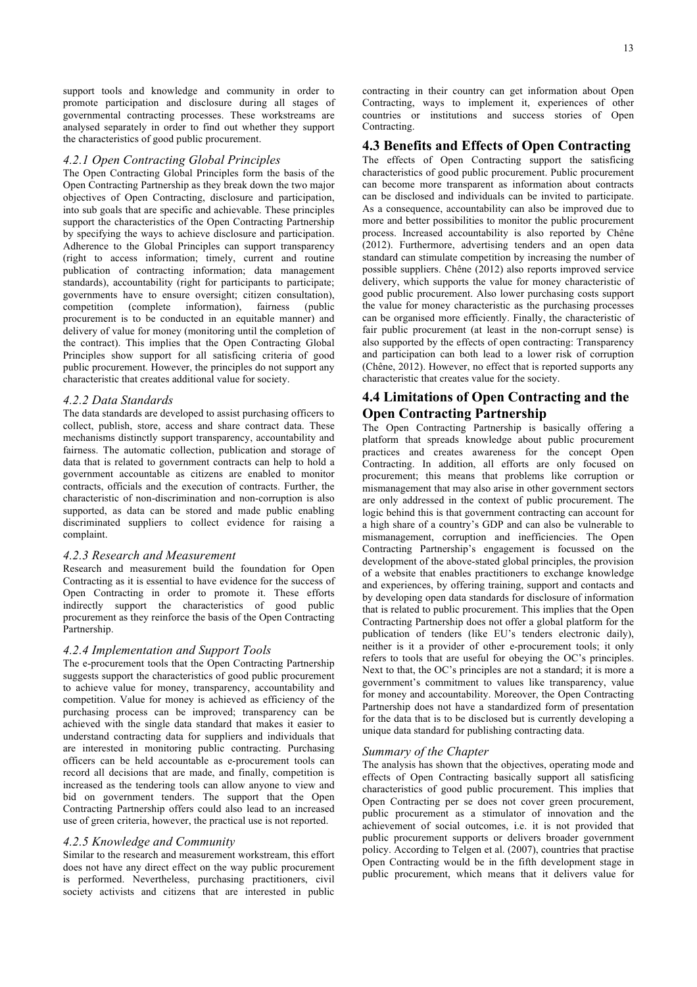support tools and knowledge and community in order to promote participation and disclosure during all stages of governmental contracting processes. These workstreams are analysed separately in order to find out whether they support the characteristics of good public procurement.

### *4.2.1 Open Contracting Global Principles*

The Open Contracting Global Principles form the basis of the Open Contracting Partnership as they break down the two major objectives of Open Contracting, disclosure and participation, into sub goals that are specific and achievable. These principles support the characteristics of the Open Contracting Partnership by specifying the ways to achieve disclosure and participation. Adherence to the Global Principles can support transparency (right to access information; timely, current and routine publication of contracting information; data management standards), accountability (right for participants to participate; governments have to ensure oversight; citizen consultation), competition (complete information), fairness (public procurement is to be conducted in an equitable manner) and delivery of value for money (monitoring until the completion of the contract). This implies that the Open Contracting Global Principles show support for all satisficing criteria of good public procurement. However, the principles do not support any characteristic that creates additional value for society.

#### *4.2.2 Data Standards*

The data standards are developed to assist purchasing officers to collect, publish, store, access and share contract data. These mechanisms distinctly support transparency, accountability and fairness. The automatic collection, publication and storage of data that is related to government contracts can help to hold a government accountable as citizens are enabled to monitor contracts, officials and the execution of contracts. Further, the characteristic of non-discrimination and non-corruption is also supported, as data can be stored and made public enabling discriminated suppliers to collect evidence for raising a complaint.

#### *4.2.3 Research and Measurement*

Research and measurement build the foundation for Open Contracting as it is essential to have evidence for the success of Open Contracting in order to promote it. These efforts indirectly support the characteristics of good public procurement as they reinforce the basis of the Open Contracting Partnership.

#### *4.2.4 Implementation and Support Tools*

The e-procurement tools that the Open Contracting Partnership suggests support the characteristics of good public procurement to achieve value for money, transparency, accountability and competition. Value for money is achieved as efficiency of the purchasing process can be improved; transparency can be achieved with the single data standard that makes it easier to understand contracting data for suppliers and individuals that are interested in monitoring public contracting. Purchasing officers can be held accountable as e-procurement tools can record all decisions that are made, and finally, competition is increased as the tendering tools can allow anyone to view and bid on government tenders. The support that the Open Contracting Partnership offers could also lead to an increased use of green criteria, however, the practical use is not reported.

#### *4.2.5 Knowledge and Community*

Similar to the research and measurement workstream, this effort does not have any direct effect on the way public procurement is performed. Nevertheless, purchasing practitioners, civil society activists and citizens that are interested in public contracting in their country can get information about Open Contracting, ways to implement it, experiences of other countries or institutions and success stories of Open Contracting.

### **4.3 Benefits and Effects of Open Contracting**

The effects of Open Contracting support the satisficing characteristics of good public procurement. Public procurement can become more transparent as information about contracts can be disclosed and individuals can be invited to participate. As a consequence, accountability can also be improved due to more and better possibilities to monitor the public procurement process. Increased accountability is also reported by Chêne (2012). Furthermore, advertising tenders and an open data standard can stimulate competition by increasing the number of possible suppliers. Chêne (2012) also reports improved service delivery, which supports the value for money characteristic of good public procurement. Also lower purchasing costs support the value for money characteristic as the purchasing processes can be organised more efficiently. Finally, the characteristic of fair public procurement (at least in the non-corrupt sense) is also supported by the effects of open contracting: Transparency and participation can both lead to a lower risk of corruption (Chêne, 2012). However, no effect that is reported supports any characteristic that creates value for the society.

# **4.4 Limitations of Open Contracting and the Open Contracting Partnership**

The Open Contracting Partnership is basically offering a platform that spreads knowledge about public procurement practices and creates awareness for the concept Open Contracting. In addition, all efforts are only focused on procurement; this means that problems like corruption or mismanagement that may also arise in other government sectors are only addressed in the context of public procurement. The logic behind this is that government contracting can account for a high share of a country's GDP and can also be vulnerable to mismanagement, corruption and inefficiencies. The Open Contracting Partnership's engagement is focussed on the development of the above-stated global principles, the provision of a website that enables practitioners to exchange knowledge and experiences, by offering training, support and contacts and by developing open data standards for disclosure of information that is related to public procurement. This implies that the Open Contracting Partnership does not offer a global platform for the publication of tenders (like EU's tenders electronic daily), neither is it a provider of other e-procurement tools; it only refers to tools that are useful for obeying the OC's principles. Next to that, the OC's principles are not a standard; it is more a government's commitment to values like transparency, value for money and accountability. Moreover, the Open Contracting Partnership does not have a standardized form of presentation for the data that is to be disclosed but is currently developing a unique data standard for publishing contracting data.

#### *Summary of the Chapter*

The analysis has shown that the objectives, operating mode and effects of Open Contracting basically support all satisficing characteristics of good public procurement. This implies that Open Contracting per se does not cover green procurement, public procurement as a stimulator of innovation and the achievement of social outcomes, i.e. it is not provided that public procurement supports or delivers broader government policy. According to Telgen et al. (2007), countries that practise Open Contracting would be in the fifth development stage in public procurement, which means that it delivers value for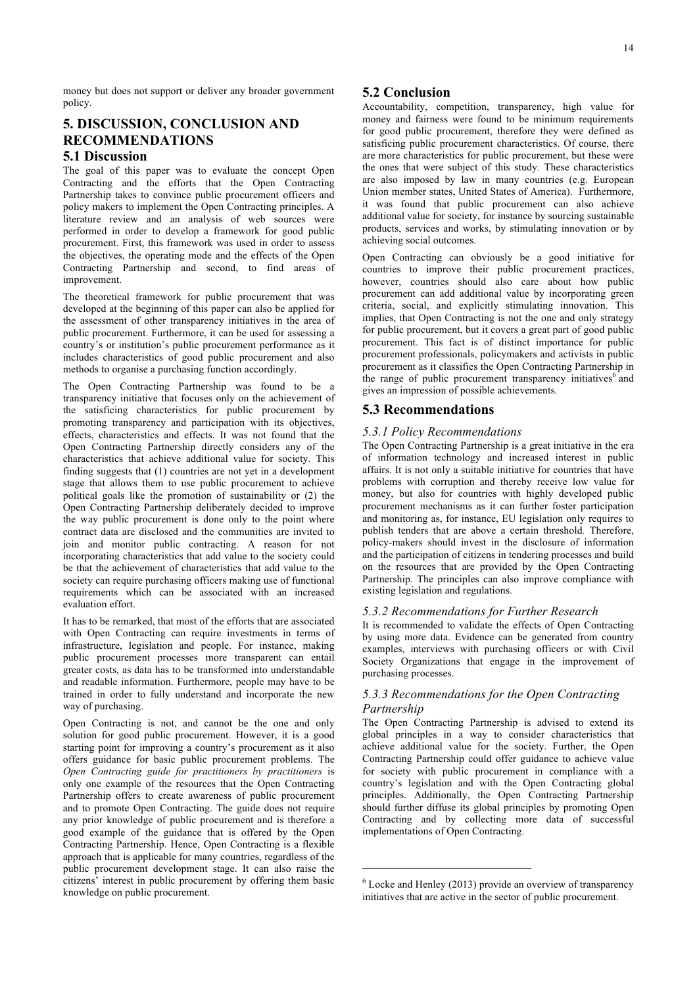money but does not support or deliver any broader government policy.

# **5. DISCUSSION, CONCLUSION AND RECOMMENDATIONS 5.1 Discussion**

The goal of this paper was to evaluate the concept Open Contracting and the efforts that the Open Contracting Partnership takes to convince public procurement officers and policy makers to implement the Open Contracting principles. A literature review and an analysis of web sources were performed in order to develop a framework for good public procurement. First, this framework was used in order to assess the objectives, the operating mode and the effects of the Open Contracting Partnership and second, to find areas of improvement.

The theoretical framework for public procurement that was developed at the beginning of this paper can also be applied for the assessment of other transparency initiatives in the area of public procurement. Furthermore, it can be used for assessing a country's or institution's public procurement performance as it includes characteristics of good public procurement and also methods to organise a purchasing function accordingly.

The Open Contracting Partnership was found to be a transparency initiative that focuses only on the achievement of the satisficing characteristics for public procurement by promoting transparency and participation with its objectives, effects, characteristics and effects. It was not found that the Open Contracting Partnership directly considers any of the characteristics that achieve additional value for society. This finding suggests that (1) countries are not yet in a development stage that allows them to use public procurement to achieve political goals like the promotion of sustainability or (2) the Open Contracting Partnership deliberately decided to improve the way public procurement is done only to the point where contract data are disclosed and the communities are invited to join and monitor public contracting. A reason for not incorporating characteristics that add value to the society could be that the achievement of characteristics that add value to the society can require purchasing officers making use of functional requirements which can be associated with an increased evaluation effort.

It has to be remarked, that most of the efforts that are associated with Open Contracting can require investments in terms of infrastructure, legislation and people. For instance, making public procurement processes more transparent can entail greater costs, as data has to be transformed into understandable and readable information. Furthermore, people may have to be trained in order to fully understand and incorporate the new way of purchasing.

Open Contracting is not, and cannot be the one and only solution for good public procurement. However, it is a good starting point for improving a country's procurement as it also offers guidance for basic public procurement problems. The *Open Contracting guide for practitioners by practitioners* is only one example of the resources that the Open Contracting Partnership offers to create awareness of public procurement and to promote Open Contracting. The guide does not require any prior knowledge of public procurement and is therefore a good example of the guidance that is offered by the Open Contracting Partnership. Hence, Open Contracting is a flexible approach that is applicable for many countries, regardless of the public procurement development stage. It can also raise the citizens' interest in public procurement by offering them basic knowledge on public procurement.

# **5.2 Conclusion**

Accountability, competition, transparency, high value for money and fairness were found to be minimum requirements for good public procurement, therefore they were defined as satisficing public procurement characteristics. Of course, there are more characteristics for public procurement, but these were the ones that were subject of this study. These characteristics are also imposed by law in many countries (e.g. European Union member states, United States of America). Furthermore, it was found that public procurement can also achieve additional value for society, for instance by sourcing sustainable products, services and works, by stimulating innovation or by achieving social outcomes.

Open Contracting can obviously be a good initiative for countries to improve their public procurement practices, however, countries should also care about how public procurement can add additional value by incorporating green criteria, social, and explicitly stimulating innovation. This implies, that Open Contracting is not the one and only strategy for public procurement, but it covers a great part of good public procurement. This fact is of distinct importance for public procurement professionals, policymakers and activists in public procurement as it classifies the Open Contracting Partnership in the range of public procurement transparency initiatives $6$  and gives an impression of possible achievements.

#### **5.3 Recommendations**

### *5.3.1 Policy Recommendations*

The Open Contracting Partnership is a great initiative in the era of information technology and increased interest in public affairs. It is not only a suitable initiative for countries that have problems with corruption and thereby receive low value for money, but also for countries with highly developed public procurement mechanisms as it can further foster participation and monitoring as, for instance, EU legislation only requires to publish tenders that are above a certain threshold*.* Therefore, policy-makers should invest in the disclosure of information and the participation of citizens in tendering processes and build on the resources that are provided by the Open Contracting Partnership. The principles can also improve compliance with existing legislation and regulations.

#### *5.3.2 Recommendations for Further Research*

It is recommended to validate the effects of Open Contracting by using more data. Evidence can be generated from country examples, interviews with purchasing officers or with Civil Society Organizations that engage in the improvement of purchasing processes.

# *5.3.3 Recommendations for the Open Contracting Partnership*

The Open Contracting Partnership is advised to extend its global principles in a way to consider characteristics that achieve additional value for the society. Further, the Open Contracting Partnership could offer guidance to achieve value for society with public procurement in compliance with a country's legislation and with the Open Contracting global principles. Additionally, the Open Contracting Partnership should further diffuse its global principles by promoting Open Contracting and by collecting more data of successful implementations of Open Contracting.

 $\overline{a}$ 

 $6$  Locke and Henley (2013) provide an overview of transparency initiatives that are active in the sector of public procurement.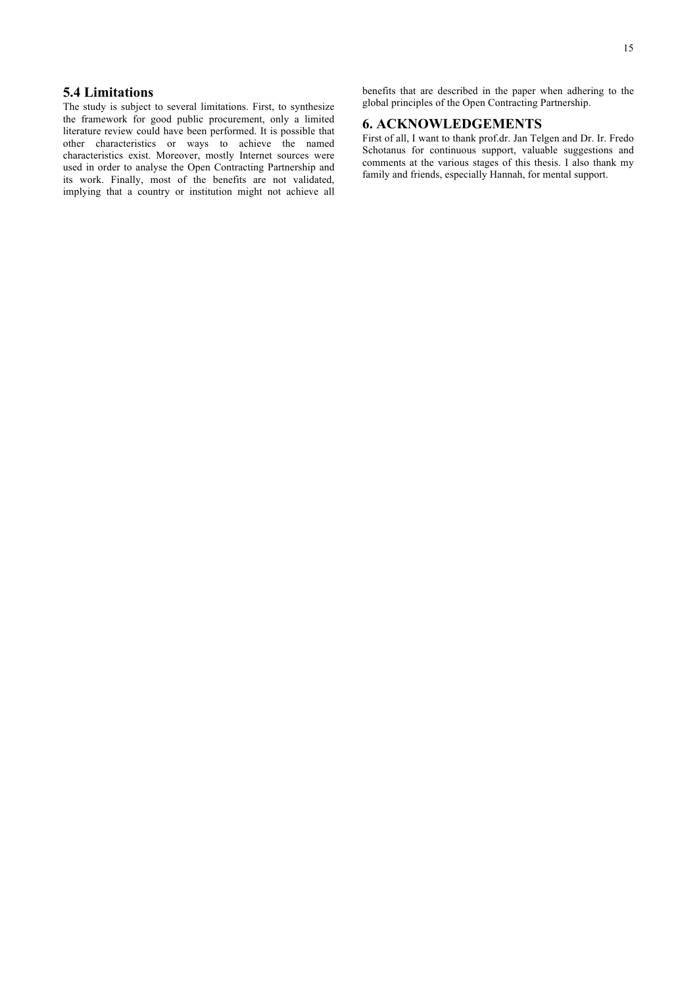# **5.4 Limitations**

The study is subject to several limitations. First, to synthesize the framework for good public procurement, only a limited literature review could have been performed. It is possible that other characteristics or ways to achieve the named characteristics exist. Moreover, mostly Internet sources were used in order to analyse the Open Contracting Partnership and its work. Finally, most of the benefits are not validated, implying that a country or institution might not achieve all benefits that are described in the paper when adhering to the global principles of the Open Contracting Partnership.

# **6. ACKNOWLEDGEMENTS**

First of all, I want to thank prof.dr. Jan Telgen and Dr. Ir. Fredo Schotanus for continuous support, valuable suggestions and comments at the various stages of this thesis. I also thank my family and friends, especially Hannah, for mental support.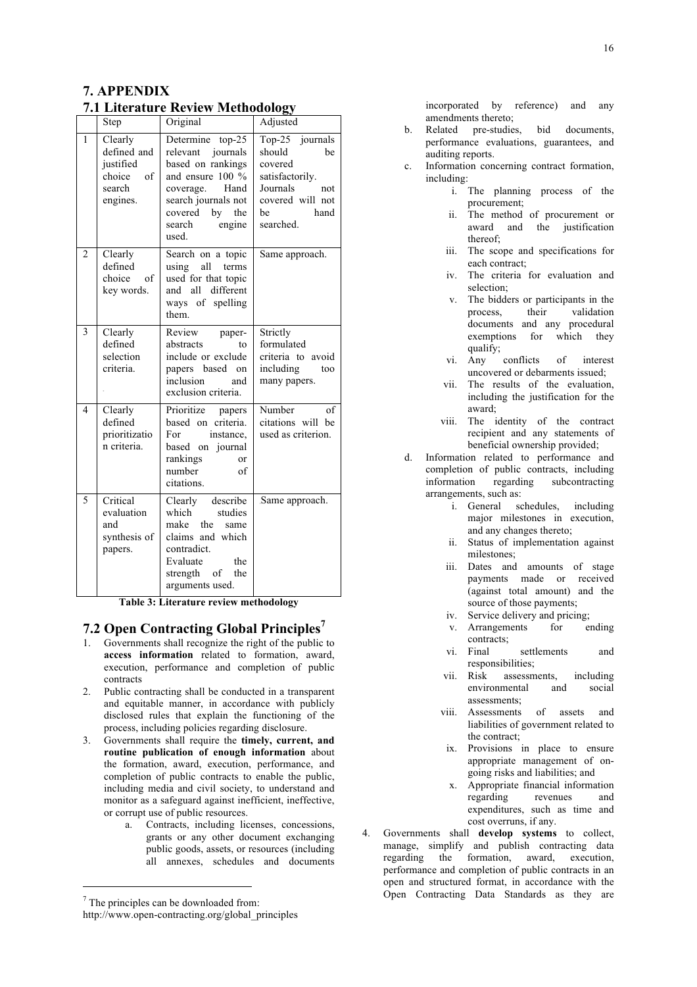# **7.1 Literature Review Methodology**

|                | Step                                                                      | Original                                                                                                                                                                        | Adjusted                                                                                                                        |
|----------------|---------------------------------------------------------------------------|---------------------------------------------------------------------------------------------------------------------------------------------------------------------------------|---------------------------------------------------------------------------------------------------------------------------------|
| 1              | Clearly<br>defined and<br>justified<br>choice<br>of<br>search<br>engines. | Determine top-25<br>relevant journals<br>based on rankings<br>and ensure 100 %<br>coverage.<br>Hand<br>search journals not<br>covered<br>by<br>the<br>engine<br>search<br>used. | Top-25 journals<br>should<br>be<br>covered<br>satisfactorily.<br>Journals<br>not<br>covered will not<br>hand<br>be<br>searched. |
| $\overline{2}$ | Clearly<br>defined<br>choice<br>of<br>key words.                          | Search on a topic<br>using all terms<br>used for that topic<br>different<br>and all<br>ways of spelling<br>them.                                                                | Same approach.                                                                                                                  |
| 3              | Clearly<br>defined<br>selection<br>criteria.                              | Review<br>paper-<br>abstracts<br>to<br>include or exclude<br>papers based<br>on<br>inclusion<br>and<br>exclusion criteria.                                                      | Strictly<br>formulated<br>criteria to avoid<br>including<br>too<br>many papers.                                                 |
| 4              | Clearly<br>defined<br>prioritizatio<br>n criteria.                        | Prioritize<br>papers<br>based on criteria.<br>For<br>instance.<br>based on journal<br>rankings<br>or<br>number<br>of<br>citations.                                              | Number<br>of<br>citations will be<br>used as criterion.                                                                         |
| 5              | Critical<br>evaluation<br>and<br>synthesis of<br>papers.                  | Clearly describe<br>which<br>studies<br>make the<br>same<br>claims and which<br>contradict.<br>Evaluate<br>the<br>strength of<br>the<br>arguments used.                         | Same approach.                                                                                                                  |

**Table 3: Literature review methodology**

# **7.2 Open Contracting Global Principles<sup>7</sup>**

- 1. Governments shall recognize the right of the public to **access information** related to formation, award, execution, performance and completion of public contracts
- 2. Public contracting shall be conducted in a transparent and equitable manner, in accordance with publicly disclosed rules that explain the functioning of the process, including policies regarding disclosure.
- 3. Governments shall require the **timely, current, and routine publication of enough information** about the formation, award, execution, performance, and completion of public contracts to enable the public, including media and civil society, to understand and monitor as a safeguard against inefficient, ineffective, or corrupt use of public resources.
	- a. Contracts, including licenses, concessions, grants or any other document exchanging public goods, assets, or resources (including all annexes, schedules and documents

 $\overline{a}$ 

incorporated by reference) and any amendments thereto;

- b. Related pre-studies, bid documents, performance evaluations, guarantees, and auditing reports.
- c. Information concerning contract formation, including:
	- i. The planning process of the procurement;
	- ii. The method of procurement or award and the justification thereof;
	- iii. The scope and specifications for each contract;
	- iv. The criteria for evaluation and selection;
	- v. The bidders or participants in the process, their validation documents and any procedural exemptions for which they qualify;
	- vi. Any conflicts of interest uncovered or debarments issued;
	- vii. The results of the evaluation, including the justification for the award;
	- viii. The identity of the contract recipient and any statements of beneficial ownership provided;

d. Information related to performance and completion of public contracts, including<br>information regarding subcontracting regarding subcontracting arrangements, such as:

- i. General schedules, including major milestones in execution, and any changes thereto;
- ii. Status of implementation against milestones;
- iii. Dates and amounts of stage payments made or received (against total amount) and the source of those payments;
- iv. Service delivery and pricing;
- v. Arrangements for ending contracts;
- vi. Final settlements and responsibilities;
- vii. Risk assessments, including environmental and social assessments;
- viii. Assessments of assets and liabilities of government related to the contract;
- ix. Provisions in place to ensure appropriate management of ongoing risks and liabilities; and
- x. Appropriate financial information regarding revenues and expenditures, such as time and cost overruns, if any.
- 4. Governments shall **develop systems** to collect, manage, simplify and publish contracting data regarding the formation, award, execution, performance and completion of public contracts in an open and structured format, in accordance with the Open Contracting Data Standards as they are

 $<sup>7</sup>$  The principles can be downloaded from:</sup>

http://www.open-contracting.org/global\_principles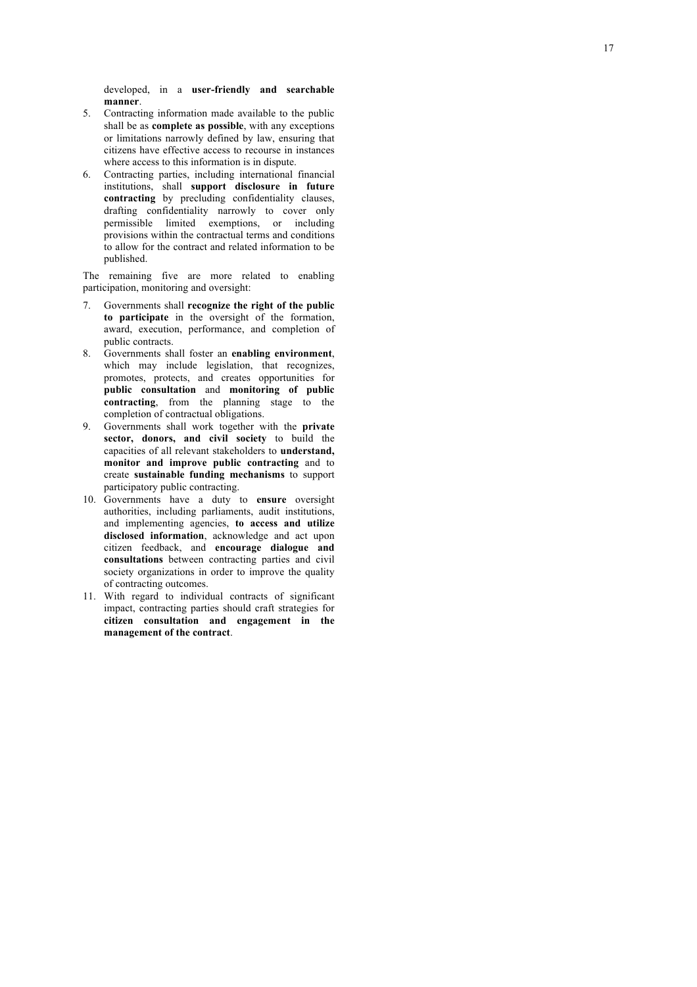developed, in a **user -friendly and searchable manner** .

- 5. Contracting information made available to the public shall be as **complete as possible**, with any exceptions or limitations narrowly defined by law, ensuring that citizens have effective access to recourse in instances where access to this information is in dispute.
- 6. Contracting parties, including international financial institutions, shall **support disclosure in future contracting** by precluding confidentiality clauses, drafting confidentiality narrowly to cover only permissible limited exemptions, or including provisions within the contractual terms and conditions to allow for the contract and related information to be published.

The remaining five are more related to enabling participation, monitoring and oversight:

- 7. Governments shall **recognize the right of the public to participate** in the oversight of the formation, award, execution, performance, and completion of public contracts.
- 8. Governments shall foster an **enabling environment**, which may include legislation, that recognizes, promotes, protects, and creates opportunities for **public consultation** and **monitoring of public contracting**, from the planning stage to the completion of contractual obligations.
- 9. Governments shall work together with the **private sector, donors, and civil society** to build the capacities of all relevant stakeholders to **understand, monitor and improve public contracting** and to create **sustainable funding mechanisms** to support participatory public contracting.
- 10. Governments have a duty to **ensure** oversight authorities, including parliaments, audit institutions, and implementing agencies, **to access and utilize disclosed information**, acknowledge and act upon citizen feedback, and **encourage dialogue and consultations** between contracting parties and civil society organizations in order to improve the quality of contracting outcomes.
- 11. With regard to individual contracts of significant impact, contracting parties should craft strategies for **citizen consultation and engagement in the management of the contract** .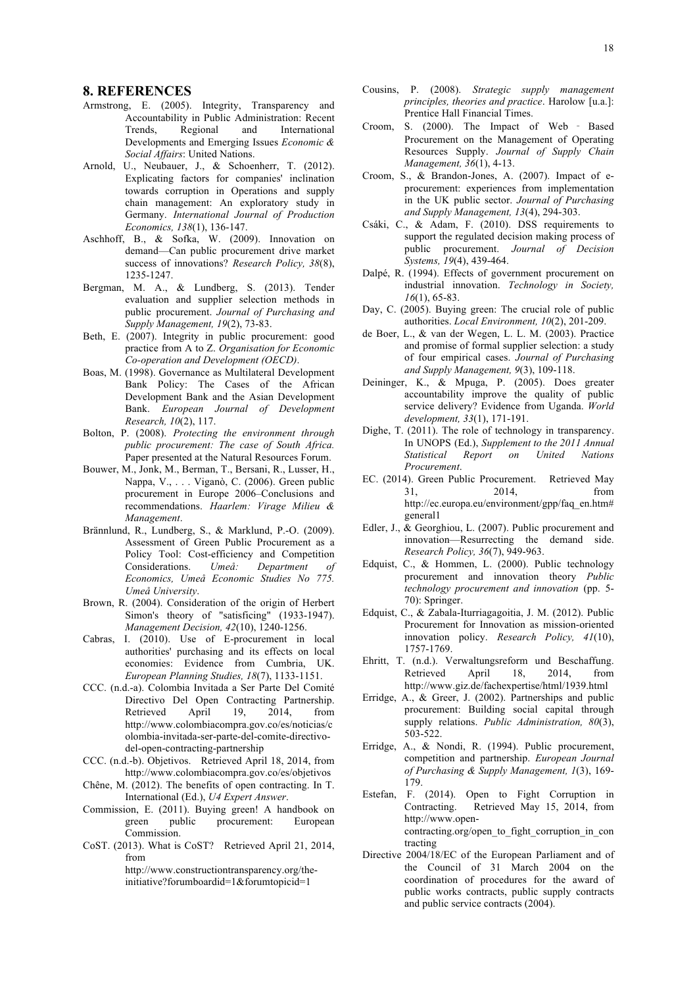#### **8. REFERENCES**

- Armstrong, E. (2005). Integrity, Transparency and Accountability in Public Administration: Recent Trends, Regional and International Developments and Emerging Issues *Economic & Social Affairs*: United Nations.
- Arnold, U., Neubauer, J., & Schoenherr, T. (2012). Explicating factors for companies' inclination towards corruption in Operations and supply chain management: An exploratory study in Germany. *International Journal of Production Economics, 138*(1), 136-147.
- Aschhoff, B., & Sofka, W. (2009). Innovation on demand—Can public procurement drive market success of innovations? *Research Policy, 38*(8), 1235-1247.
- Bergman, M. A., & Lundberg, S. (2013). Tender evaluation and supplier selection methods in public procurement. *Journal of Purchasing and Supply Management, 19*(2), 73-83.
- Beth, E. (2007). Integrity in public procurement: good practice from A to Z. *Organisation for Economic Co-operation and Development (OECD)*.
- Boas, M. (1998). Governance as Multilateral Development Bank Policy: The Cases of the African Development Bank and the Asian Development Bank. *European Journal of Development Research, 10*(2), 117.
- Bolton, P. (2008). *Protecting the environment through public procurement: The case of South Africa.* Paper presented at the Natural Resources Forum.
- Bouwer, M., Jonk, M., Berman, T., Bersani, R., Lusser, H., Nappa, V., . . . Viganò, C. (2006). Green public procurement in Europe 2006–Conclusions and recommendations. *Haarlem: Virage Milieu & Management*.
- Brännlund, R., Lundberg, S., & Marklund, P.-O. (2009). Assessment of Green Public Procurement as a Policy Tool: Cost-efficiency and Competition Considerations. *Umeå: Department of Economics, Umeå Economic Studies No 775. Umeå University*.
- Brown, R. (2004). Consideration of the origin of Herbert Simon's theory of "satisficing" (1933-1947). *Management Decision, 42*(10), 1240-1256.
- Cabras, I. (2010). Use of E-procurement in local authorities' purchasing and its effects on local economies: Evidence from Cumbria, UK. *European Planning Studies, 18*(7), 1133-1151.
- CCC. (n.d.-a). Colombia Invitada a Ser Parte Del Comité Directivo Del Open Contracting Partnership. Retrieved April 19, 2014, from http://www.colombiacompra.gov.co/es/noticias/c olombia-invitada-ser-parte-del-comite-directivodel-open-contracting-partnership
- CCC. (n.d.-b). Objetivos. Retrieved April 18, 2014, from http://www.colombiacompra.gov.co/es/objetivos
- Chêne, M. (2012). The benefits of open contracting. In T. International (Ed.), *U4 Expert Answer*.
- Commission, E. (2011). Buying green! A handbook on green public procurement: European Commission.
- CoST. (2013). What is CoST? Retrieved April 21, 2014, from http://www.constructiontransparency.org/the-

initiative?forumboardid=1&forumtopicid=1

- Cousins, P. (2008). *Strategic supply management principles, theories and practice*. Harolow [u.a.]: Prentice Hall Financial Times.
- Croom, S. (2000). The Impact of Web ‐ Based Procurement on the Management of Operating Resources Supply. *Journal of Supply Chain Management, 36*(1), 4-13.
- Croom, S., & Brandon-Jones, A. (2007). Impact of eprocurement: experiences from implementation in the UK public sector. *Journal of Purchasing and Supply Management, 13*(4), 294-303.
- Csáki, C., & Adam, F. (2010). DSS requirements to support the regulated decision making process of public procurement. *Journal of Decision Systems, 19*(4), 439-464.
- Dalpé, R. (1994). Effects of government procurement on industrial innovation. *Technology in Society, 16*(1), 65-83.
- Day, C. (2005). Buying green: The crucial role of public authorities. *Local Environment, 10*(2), 201-209.
- de Boer, L., & van der Wegen, L. L. M. (2003). Practice and promise of formal supplier selection: a study of four empirical cases. *Journal of Purchasing and Supply Management, 9*(3), 109-118.
- Deininger, K., & Mpuga, P. (2005). Does greater accountability improve the quality of public service delivery? Evidence from Uganda. *World development, 33*(1), 171-191.
- Dighe, T. (2011). The role of technology in transparency. In UNOPS (Ed.), *Supplement to the 2011 Annual Statistical Report on United Nations Procurement*.
- EC. (2014). Green Public Procurement. Retrieved May 31, 2014, from http://ec.europa.eu/environment/gpp/faq\_en.htm# general1
- Edler, J., & Georghiou, L. (2007). Public procurement and innovation—Resurrecting the demand side. *Research Policy, 36*(7), 949-963.
- Edquist, C., & Hommen, L. (2000). Public technology procurement and innovation theory *Public technology procurement and innovation* (pp. 5- 70): Springer.
- Edquist, C., & Zabala-Iturriagagoitia, J. M. (2012). Public Procurement for Innovation as mission-oriented innovation policy. *Research Policy, 41*(10), 1757-1769.
- Ehritt, T. (n.d.). Verwaltungsreform und Beschaffung. Retrieved April 18, 2014, from http://www.giz.de/fachexpertise/html/1939.html
- Erridge, A., & Greer, J. (2002). Partnerships and public procurement: Building social capital through supply relations. *Public Administration, 80*(3), 503-522.
- Erridge, A., & Nondi, R. (1994). Public procurement, competition and partnership. *European Journal of Purchasing & Supply Management, 1*(3), 169- 179.
- Estefan, F. (2014). Open to Fight Corruption in Contracting. Retrieved May 15, 2014, from http://www.opencontracting.org/open\_to\_fight\_corruption\_in\_con tracting
- Directive 2004/18/EC of the European Parliament and of the Council of 31 March 2004 on the coordination of procedures for the award of public works contracts, public supply contracts and public service contracts (2004).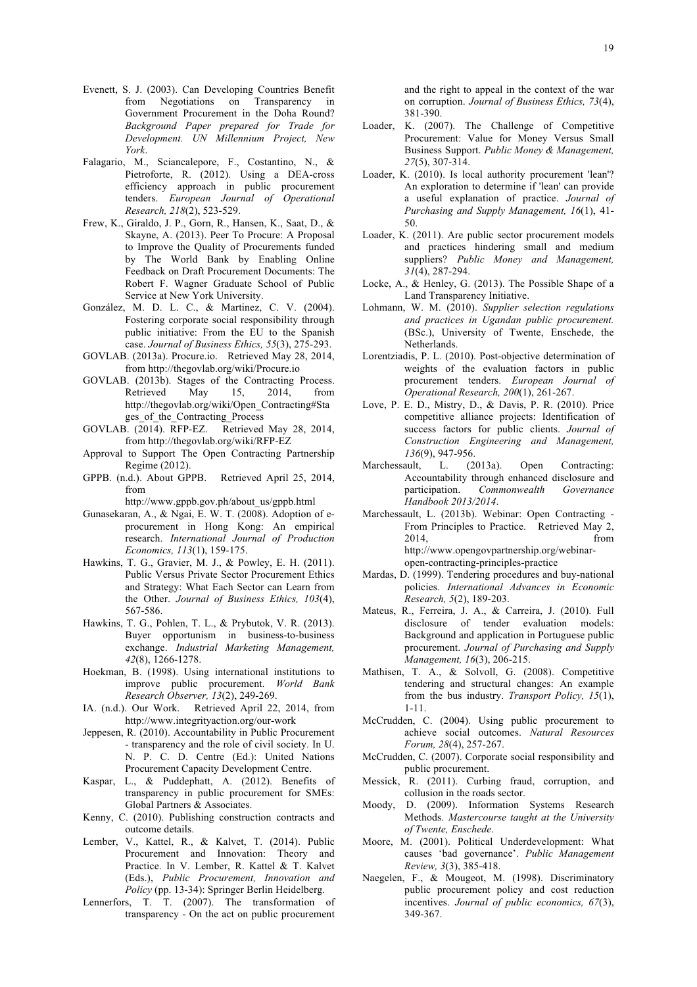- Evenett, S. J. (2003). Can Developing Countries Benefit from Negotiations on Transparency in Government Procurement in the Doha Round? *Background Paper prepared for Trade for Development. UN Millennium Project, New York*.
- Falagario, M., Sciancalepore, F., Costantino, N., & Pietroforte, R. (2012). Using a DEA-cross efficiency approach in public procurement tenders. *European Journal of Operational Research, 218*(2), 523-529.
- Frew, K., Giraldo, J. P., Gorn, R., Hansen, K., Saat, D., & Skayne, A. (2013). Peer To Procure: A Proposal to Improve the Quality of Procurements funded by The World Bank by Enabling Online Feedback on Draft Procurement Documents: The Robert F. Wagner Graduate School of Public Service at New York University.
- González, M. D. L. C., & Martinez, C. V. (2004). Fostering corporate social responsibility through public initiative: From the EU to the Spanish case. *Journal of Business Ethics, 55*(3), 275-293.
- GOVLAB. (2013a). Procure.io. Retrieved May 28, 2014, from http://thegovlab.org/wiki/Procure.io
- GOVLAB. (2013b). Stages of the Contracting Process. Retrieved May 15, 2014, from http://thegovlab.org/wiki/Open\_Contracting#Sta ges\_of\_the\_Contracting\_Process
- GOVLAB. (2014). RFP-EZ. Retrieved May 28, 2014, from http://thegovlab.org/wiki/RFP-EZ
- Approval to Support The Open Contracting Partnership Regime (2012).
- GPPB. (n.d.). About GPPB. Retrieved April 25, 2014, from

http://www.gppb.gov.ph/about\_us/gppb.html

- Gunasekaran, A., & Ngai, E. W. T. (2008). Adoption of eprocurement in Hong Kong: An empirical research. *International Journal of Production Economics, 113*(1), 159-175.
- Hawkins, T. G., Gravier, M. J., & Powley, E. H. (2011). Public Versus Private Sector Procurement Ethics and Strategy: What Each Sector can Learn from the Other. *Journal of Business Ethics, 103*(4), 567-586.
- Hawkins, T. G., Pohlen, T. L., & Prybutok, V. R. (2013). Buyer opportunism in business-to-business exchange. *Industrial Marketing Management, 42*(8), 1266-1278.
- Hoekman, B. (1998). Using international institutions to improve public procurement. *World Bank Research Observer, 13*(2), 249-269.
- IA. (n.d.). Our Work. Retrieved April 22, 2014, from http://www.integrityaction.org/our-work
- Jeppesen, R. (2010). Accountability in Public Procurement - transparency and the role of civil society. In U. N. P. C. D. Centre (Ed.): United Nations Procurement Capacity Development Centre.
- Kaspar, L., & Puddephatt, A. (2012). Benefits of transparency in public procurement for SMEs: Global Partners & Associates.
- Kenny, C. (2010). Publishing construction contracts and outcome details.
- Lember, V., Kattel, R., & Kalvet, T. (2014). Public Procurement and Innovation: Theory and Practice. In V. Lember, R. Kattel & T. Kalvet (Eds.), *Public Procurement, Innovation and Policy* (pp. 13-34): Springer Berlin Heidelberg.
- Lennerfors, T. T. (2007). The transformation of transparency - On the act on public procurement

and the right to appeal in the context of the war on corruption. *Journal of Business Ethics, 73*(4), 381-390.

- Loader, K. (2007). The Challenge of Competitive Procurement: Value for Money Versus Small Business Support. *Public Money & Management, 27*(5), 307-314.
- Loader, K. (2010). Is local authority procurement 'lean'? An exploration to determine if 'lean' can provide a useful explanation of practice. *Journal of Purchasing and Supply Management, 16*(1), 41- 50.
- Loader, K. (2011). Are public sector procurement models and practices hindering small and medium suppliers? *Public Money and Management, 31*(4), 287-294.
- Locke, A., & Henley, G. (2013). The Possible Shape of a Land Transparency Initiative.
- Lohmann, W. M. (2010). *Supplier selection regulations and practices in Ugandan public procurement.* (BSc.), University of Twente, Enschede, the Netherlands.
- Lorentziadis, P. L. (2010). Post-objective determination of weights of the evaluation factors in public procurement tenders. *European Journal of Operational Research, 200*(1), 261-267.
- Love, P. E. D., Mistry, D., & Davis, P. R. (2010). Price competitive alliance projects: Identification of success factors for public clients. *Journal of Construction Engineering and Management, 136*(9), 947-956.
- Marchessault, L. (2013a). Open Contracting: Accountability through enhanced disclosure and participation. *Commonwealth Governance Handbook 2013/2014*.
- Marchessault, L. (2013b). Webinar: Open Contracting From Principles to Practice. Retrieved May 2, 2014, from http://www.opengovpartnership.org/webinaropen-contracting-principles-practice
- Mardas, D. (1999). Tendering procedures and buy-national policies. *International Advances in Economic Research, 5*(2), 189-203.
- Mateus, R., Ferreira, J. A., & Carreira, J. (2010). Full disclosure of tender evaluation models: Background and application in Portuguese public procurement. *Journal of Purchasing and Supply Management, 16*(3), 206-215.
- Mathisen, T. A., & Solvoll, G. (2008). Competitive tendering and structural changes: An example from the bus industry. *Transport Policy, 15*(1), 1-11.
- McCrudden, C. (2004). Using public procurement to achieve social outcomes. *Natural Resources Forum, 28*(4), 257-267.
- McCrudden, C. (2007). Corporate social responsibility and public procurement.
- Messick, R. (2011). Curbing fraud, corruption, and collusion in the roads sector.
- Moody, D. (2009). Information Systems Research Methods. *Mastercourse taught at the University of Twente, Enschede*.
- Moore, M. (2001). Political Underdevelopment: What causes 'bad governance'. *Public Management Review, 3*(3), 385-418.
- Naegelen, F., & Mougeot, M. (1998). Discriminatory public procurement policy and cost reduction incentives. *Journal of public economics, 67*(3), 349-367.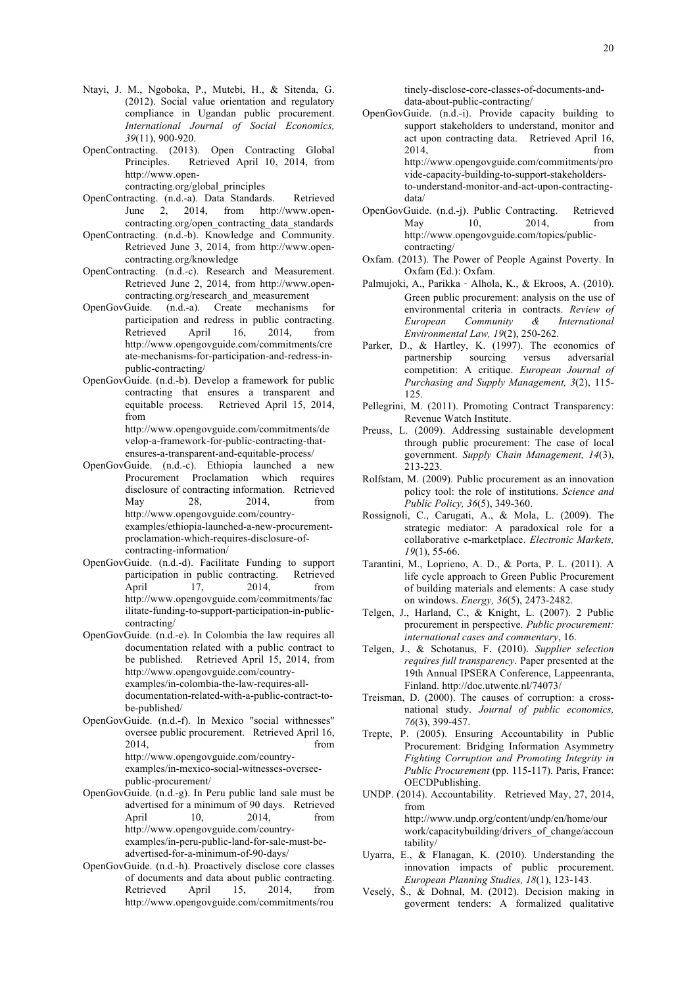- Ntayi, J. M., Ngoboka, P., Mutebi, H., & Sitenda, G. (2012). Social value orientation and regulatory compliance in Ugandan public procurement. *International Journal of Social Economics, 39*(11), 900-920.
- OpenContracting. (2013). Open Contracting Global Principles. Retrieved April 10, 2014, from http://www.opencontracting.org/global\_principles
- OpenContracting. (n.d.-a). Data Standards. Retrieved
- June 2, 2014, from http://www.opencontracting.org/open\_contracting\_data\_standards
- OpenContracting. (n.d.-b). Knowledge and Community. Retrieved June 3, 2014, from http://www.opencontracting.org/knowledge
- OpenContracting. (n.d.-c). Research and Measurement. Retrieved June 2, 2014, from http://www.opencontracting.org/research\_and\_measurement
- OpenGovGuide. (n.d.-a). Create mechanisms for participation and redress in public contracting. Retrieved April 16, 2014, from http://www.opengovguide.com/commitments/cre ate-mechanisms-for-participation-and-redress-inpublic-contracting/
- OpenGovGuide. (n.d.-b). Develop a framework for public contracting that ensures a transparent and equitable process. Retrieved April 15, 2014, from

http://www.opengovguide.com/commitments/de velop-a-framework-for-public-contracting-thatensures-a-transparent-and-equitable-process/

- OpenGovGuide. (n.d.-c). Ethiopia launched a new Procurement Proclamation which requires disclosure of contracting information. Retrieved May 28, 2014, from http://www.opengovguide.com/countryexamples/ethiopia-launched-a-new-procurementproclamation-which-requires-disclosure-ofcontracting-information/
- OpenGovGuide. (n.d.-d). Facilitate Funding to support participation in public contracting. Retrieved April 17, 2014, from http://www.opengovguide.com/commitments/fac ilitate-funding-to-support-participation-in-publiccontracting/
- OpenGovGuide. (n.d.-e). In Colombia the law requires all documentation related with a public contract to be published. Retrieved April 15, 2014, from http://www.opengovguide.com/countryexamples/in-colombia-the-law-requires-alldocumentation-related-with-a-public-contract-tobe-published/
- OpenGovGuide. (n.d.-f). In Mexico "social withnesses" oversee public procurement. Retrieved April 16, 2014, from http://www.opengovguide.com/countryexamples/in-mexico-social-witnesses-overseepublic-procurement/
- OpenGovGuide. (n.d.-g). In Peru public land sale must be advertised for a minimum of 90 days. Retrieved April 10, 2014, from http://www.opengovguide.com/countryexamples/in-peru-public-land-for-sale-must-beadvertised-for-a-minimum-of-90-days/
- OpenGovGuide. (n.d.-h). Proactively disclose core classes of documents and data about public contracting. Retrieved April 15, 2014, from http://www.opengovguide.com/commitments/rou

tinely-disclose-core-classes-of-documents-anddata-about-public-contracting/

- OpenGovGuide. (n.d.-i). Provide capacity building to support stakeholders to understand, monitor and act upon contracting data. Retrieved April 16, 2014, from http://www.opengovguide.com/commitments/pro vide-capacity-building-to-support-stakeholdersto-understand-monitor-and-act-upon-contractingdata/
- OpenGovGuide. (n.d.-j). Public Contracting. Retrieved May 10, 2014, from http://www.opengovguide.com/topics/publiccontracting/
- Oxfam. (2013). The Power of People Against Poverty. In Oxfam (Ed.): Oxfam.
- Palmujoki, A., Parikka‐Alhola, K., & Ekroos, A. (2010). Green public procurement: analysis on the use of environmental criteria in contracts. *Review of European Community & International Environmental Law, 19*(2), 250-262.
- Parker, D., & Hartley, K. (1997). The economics of partnership sourcing versus adversarial competition: A critique. *European Journal of Purchasing and Supply Management, 3*(2), 115- 125.
- Pellegrini, M. (2011). Promoting Contract Transparency: Revenue Watch Institute.
- Preuss, L. (2009). Addressing sustainable development through public procurement: The case of local government. *Supply Chain Management, 14*(3), 213-223.
- Rolfstam, M. (2009). Public procurement as an innovation policy tool: the role of institutions. *Science and Public Policy, 36*(5), 349-360.
- Rossignoli, C., Carugati, A., & Mola, L. (2009). The strategic mediator: A paradoxical role for a collaborative e-marketplace. *Electronic Markets, 19*(1), 55-66.
- Tarantini, M., Loprieno, A. D., & Porta, P. L. (2011). A life cycle approach to Green Public Procurement of building materials and elements: A case study on windows. *Energy, 36*(5), 2473-2482.
- Telgen, J., Harland, C., & Knight, L. (2007). 2 Public procurement in perspective. *Public procurement: international cases and commentary*, 16.
- Telgen, J., & Schotanus, F. (2010). *Supplier selection requires full transparency*. Paper presented at the 19th Annual IPSERA Conference, Lappeenranta, Finland. http://doc.utwente.nl/74073/
- Treisman, D. (2000). The causes of corruption: a crossnational study. *Journal of public economics, 76*(3), 399-457.
- Trepte, P. (2005). Ensuring Accountability in Public Procurement: Bridging Information Asymmetry *Fighting Corruption and Promoting Integrity in Public Procurement* (pp. 115-117). Paris, France: OECDPublishing.
- UNDP. (2014). Accountability. Retrieved May, 27, 2014, from http://www.undp.org/content/undp/en/home/our work/capacitybuilding/drivers\_of\_change/accoun tability/
- Uyarra, E., & Flanagan, K. (2010). Understanding the innovation impacts of public procurement. *European Planning Studies, 18*(1), 123-143.
- Veselý, Š., & Dohnal, M. (2012). Decision making in goverment tenders: A formalized qualitative